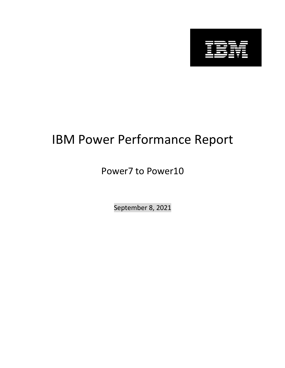

# IBM Power Performance Report

## Power7 to Power10

September 8, 2021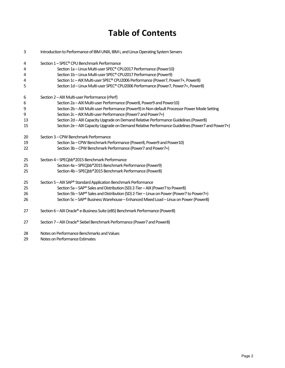## **Table of Contents**

| 3  | Introduction to Performance of IBM UNIX, IBM i, and Linux Operating System Servers               |
|----|--------------------------------------------------------------------------------------------------|
| 4  | Section 1-SPEC® CPU Benchmark Performance                                                        |
| 4  | Section 1a - Linux Multi-user SPEC® CPU2017 Performance (Power10)                                |
| 4  | Section 1b - Linux Multi-user SPEC® CPU2017 Performance (Power9)                                 |
| 4  | Section 1c-AIX Multi-user SPEC® CPU2006 Performance (Power7, Power7+, Power8)                    |
| 5  | Section 1d - Linux Multi-user SPEC® CPU2006 Performance (Power7, Power7+, Power8)                |
| 6  | Section 2-AIX Multi-user Performance (rPerf)                                                     |
| 6  | Section 2a - AIX Multi-user Performance (Power8, Power9 and Power10)                             |
| 9  | Section 2b - AIX Multi-user Performance (Power9) in Non-default Processor Power Mode Setting     |
| 9  | Section 2c-AIX Multi-user Performance (Power7 and Power7+)                                       |
| 13 | Section 2d - AIX Capacity Upgrade on Demand Relative Performance Guidelines (Power8)             |
| 15 | Section 2e - AIX Capacity Upgrade on Demand Relative Performance Guidelines (Power7 and Power7+) |
| 20 | Section 3 - CPW Benchmark Performance                                                            |
| 19 | Section 3a - CPW Benchmark Performance (Power8, Power9 and Power10)                              |
| 22 | Section 3b - CPW Benchmark Performance (Power7 and Power7+)                                      |
| 25 | Section 4-SPECjbb®2015 Benchmark Performance                                                     |
| 25 | Section 4a - SPECjbb®2015 Benchmark Performance (Power9)                                         |
| 25 | Section 4b - SPECjbb®2015 Benchmark Performance (Power8)                                         |
| 25 | Section 5 - AIX SAP® Standard Application Benchmark Performance                                  |
| 25 | Section 5a - SAP® Sales and Distribution (SD) 2-Tier - AIX (Power7 to Power8)                    |
| 26 | Section 5b - SAP® Sales and Distribution (SD) 2-Tier - Linux on Power (Power7 to Power7+)        |
| 26 | Section 5c - SAP® Business Warehouse - Enhanced Mixed Load - Linux on Power (Power8)             |
| 27 | Section 6 - AIX Oracle® e-Business Suite (eBS) Benchmark Performance (Power8)                    |
| 27 | Section 7 - AIX Oracle® Siebel Benchmark Performance (Power7 and Power8)                         |
| 28 | Notes on Performance Benchmarks and Values                                                       |
| 29 | Notes on Performance Estimates                                                                   |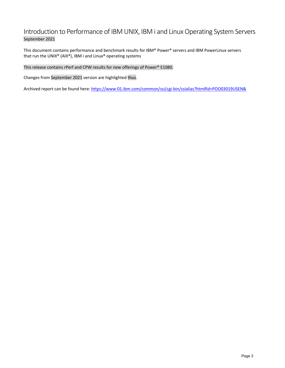## Introduction to Performance of IBM UNIX, IBM i and Linux Operating System Servers September 2021

This document contains performance and benchmark results for IBM® Power® servers and IBM PowerLinux servers that run the UNIX® (AIX®), IBM i and Linux® operating systems

This release contains rPerf and CPW results for new offerings of Power® E1080.

Changes from September 2021 version are highlighted thus.

Archived report can be found here: https://www-01.ibm.com/common/ssi/cgi-bin/ssialias?htmlfid=POO03019USEN&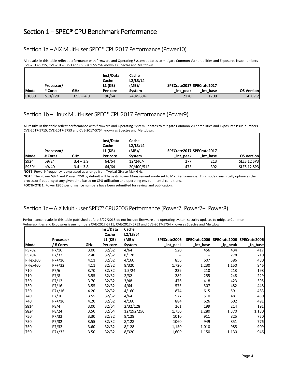## Section 1 – SPEC® CPU Benchmark Performance

### Section 1a – AIX Multi-user SPEC® CPU2017 Performance (Power10)

All results in this table reflect performance with firmware and Operating System updates to mitigate Common Vulnerabilities and Exposures issue numbers CVE-2017-5715, CVE-2017-5753 and CVE-2017-5754 known as Spectre and Meltdown.

|              | Processor/ |              | Inst/Data<br>Cache<br>L1 (KB) | Cache<br>L2/L3/L4<br>(MB) | SPECrate2017 SPECrate2017 |          |                   |
|--------------|------------|--------------|-------------------------------|---------------------------|---------------------------|----------|-------------------|
| <b>Model</b> | # Cores    | GHz          | Per core                      | <b>System</b>             | int peak                  | int base | <b>OS Version</b> |
| E1080        | p10/120    | $3.55 - 4.0$ | 96/64                         | 240/960/-                 | 2170                      | 1700     | AIX 7.2           |

### Section 1b – Linux Multi-user SPEC® CPU2017 Performance (Power9)

All results in this table reflect performance with firmware and Operating System updates to mitigate Common Vulnerabilities and Exposures issue numbers CVE-2017-5715, CVE-2017-5753 and CVE-2017-5754 known as Spectre and Meltdown.

|                   | Processor/ |             | Inst/Data<br>Cache<br>L1 (KB) | Cache<br>L2/L3/L4<br>(MB) | SPECrate2017 SPECrate2017 |          |                    |
|-------------------|------------|-------------|-------------------------------|---------------------------|---------------------------|----------|--------------------|
| Model             | # Cores    | GHz         | Per core                      | System                    | int peak                  | int base | <b>OS Version</b>  |
| S924              | p9/24      | $3.4 - 3.9$ | 64/64                         | $12/240/-$                | 277                       | 213      | SLES 12 SP3        |
| E950 <sup>1</sup> | p9/40      | $3.4 - 3.8$ | 64/64                         | 20/400/512                | 475                       | 392      | <b>SLES 12 SP3</b> |

**NOTE**: Power9 frequency is expressed as a range from Typical GHz to Max GHz.

**NOTE**: The Power S924 and Power E950 by default will have its Power Management mode set to Max Performance. This mode dynamically optimizes the processor frequency at any given time based on CPU utilization and operating environmental conditions.

**FOOTNOTE 1**: Power E950 performance numbers have been submitted for review and publication.

## Section 1c – AIX Multi-user SPEC® CPU2006 Performance (Power7, Power7+, Power8)

|              |                  |      | Inst/Data<br>Cache | Cache<br>L2/L3/L4 |              |           |                                        |          |
|--------------|------------------|------|--------------------|-------------------|--------------|-----------|----------------------------------------|----------|
|              | Processor        |      | L1 (KB)            | (MB)              | SPECrate2006 |           | SPECrate2006 SPECrate2006 SPECrate2006 |          |
| Model        | /        # Cores | GHz  | Per core           | System            | _int_peak    | _int_base | _fp_peak                               | _fp_base |
| <b>PS702</b> | P7/16            | 3.00 | 32/32              | 4/64              | 520          | 456       | 434                                    | 417      |
| <b>PS704</b> | P7/32            | 2.40 | 32/32              | 8/128             |              |           | 778                                    | 710      |
| PFlex260     | $P7+/16$         | 4.11 | 32/32              | 4/160             | 856          | 607       | 586                                    | 480      |
| PFlex460     | $P7+/32$         | 4.11 | 32/32              | 8/320             | 1,720        | 1,230     | 1,150                                  | 946      |
| 710          | P7/6             | 3.70 | 32/32              | 1.5/24            | 239          | 210       | 213                                    | 198      |
| 710          | P7/8             | 3.55 | 32/32              | 2/32              | 289          | 255       | 248                                    | 229      |
| 730          | P7/12            | 3.70 | 32/32              | 3/48              | 476          | 418       | 423                                    | 395      |
| 730          | P7/16            | 3.55 | 32/32              | 4/64              | 575          | 507       | 482                                    | 448      |
| 730          | P7+/16           | 4.20 | 32/32              | 4/160             | 874          | 615       | 591                                    | 483      |
| 740          | P7/16            | 3.55 | 32/32              | 4/64              | 577          | 510       | 481                                    | 450      |
| 740          | P7+/16           | 4.20 | 32/32              | 4/160             | 884          | 626       | 602                                    | 491      |
| S814         | P8/4             | 3.00 | 32/64              | 2/32/128          | 261          | 199       | 214                                    | 191      |
| S824         | P8/24            | 3.50 | 32/64              | 12/192/256        | 1,750        | 1,280     | 1,370                                  | 1,180    |
| 750          | P7/32            | 3.30 | 32/32              | 8/128             | 1010         | 911       | 825                                    | 750      |
| 750          | P7/32            | 3.55 | 32/32              | 8/128             | 1060         | 949       | 851                                    | 776      |
| 750          | P7/32            | 3.60 | 32/32              | 8/128             | 1,150        | 1,010     | 985                                    | 909      |
| 750          | P7+/32           | 3.50 | 32/32              | 8/320             | 1,600        | 1,150     | 1,130                                  | 946      |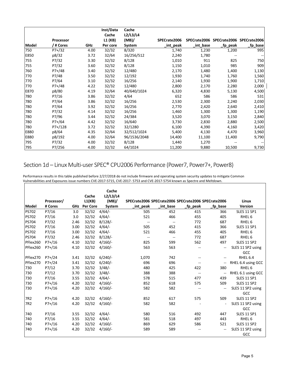|       |           |      | Inst/Data        | Cache             |              |           |                                        |          |
|-------|-----------|------|------------------|-------------------|--------------|-----------|----------------------------------------|----------|
|       | Processor |      | Cache<br>L1 (KB) | L2/L3/L4<br>(MB)/ | SPECrate2006 |           | SPECrate2006 SPECrate2006 SPECrate2006 |          |
| Model | / # Cores | GHz  | Per core         | System            | _int_peak    | _int_base | _fp_peak                               | _fp_base |
| 750   | $P7+/32$  | 4.00 | 32/32            | 8/320             | 1,740        | 1,230     | 1,200                                  | 995      |
| E850  | p8/32     | 3.72 | 32/64            | 16/256/512        | 2,240        | 1,780     |                                        |          |
| 755   | P7/32     | 3.30 | 32/32            | 8/128             | 1,010        | 911       | 825                                    | 750      |
| 755   | P7/32     | 3.60 | 32/32            | 8/128             | 1,150        | 1,010     | 985                                    | 909      |
| 760   | $P7+/48$  | 3.40 | 32/32            | 12/480            | 2,170        | 1,480     | 1,400                                  | 1,130    |
| 770   | P7/48     | 3.50 | 32/32            | 12/192            | 1,930        | 1,740     | 1,760                                  | 1,560    |
| 770   | P7/64     | 3.10 | 32/32            | 16/256            | 2,140        | 1,930     | 1,900                                  | 1,710    |
| 770   | $P7+/48$  | 4.22 | 32/32            | 12/480            | 2,800        | 2,170     | 2,280                                  | 2,000    |
| E870  | p8/80     | 4.19 | 32/64            | 40/640/1024       | 6,320        | 4,830     | 5,130                                  | 4,500    |
| 780   | P7/16     | 3.86 | 32/32            | 4/64              | 652          | 586       | 586                                    | 531      |
| 780   | P7/64     | 3.86 | 32/32            | 16/256            | 2,530        | 2,300     | 2,240                                  | 2,030    |
| 780   | P7/64     | 3.92 | 32/32            | 16/256            | 2,770        | 2,420     | 2,640                                  | 2,410    |
| 780   | P7/32     | 4.14 | 32/32            | 16/256            | 1,460        | 1,300     | 1,300                                  | 1,190    |
| 780   | P7/96     | 3.44 | 32/32            | 24/384            | 3,520        | 3,070     | 3,150                                  | 2,840    |
| 780   | $P7+/64$  | 4.42 | 32/32            | 16/640            | 3,730        | 2,830     | 2,880                                  | 2,500    |
| 780   | $P7+/128$ | 3.72 | 32/32            | 32/1280           | 6,100        | 4,390     | 4,160                                  | 3,420    |
| E880  | p8/64     | 4.35 | 32/64            | 32/512/1024       | 5,400        | 4,130     | 4,470                                  | 3,960    |
| E880  | p8/192    | 4.00 | 32/64            | 96/1536/2048      | 14,400       | 11,100    | 11,400                                 | 9,790    |
| 795   | P7/32     | 4.00 | 32/32            | 8/128             | 1,440        | 1,270     |                                        |          |
| 795   | P7/256    | 4.00 | 32/32            | 64/1024           | 11,200       | 9,880     | 10,500                                 | 9,730    |

## Section 1d – Linux Multi-user SPEC® CPU2006 Performance (Power7, Power7+, Power8)

| Model           | Processor/<br># Cores | <b>GHz</b> | Cache<br>L1(KB)<br><b>Per Core</b> | Cache<br>L2/L3/L4<br>(MB)<br>System | SPECrate2006 SPECrate2006 SPECrate2006 SPECrate2006<br>_int_peak | int base                 | fp peak                  | fp base | Linux<br><b>Version</b> |
|-----------------|-----------------------|------------|------------------------------------|-------------------------------------|------------------------------------------------------------------|--------------------------|--------------------------|---------|-------------------------|
| <b>PS702</b>    | P7/16                 | 3.0        | 32/32                              | 4/64/                               | 505                                                              | 452                      | 415                      | 366     | <b>SLES 11 SP1</b>      |
| <b>PS702</b>    | P7/16                 | 3.0        | 32/32                              | 4/64/                               | 521                                                              | 466                      | 455                      | 405     | RHEL <sub>6</sub>       |
| <b>PS704</b>    | P7/32                 | 2.46       | 32/32                              | $8/128$ /-                          | $\overline{\phantom{a}}$                                         | $\overline{\phantom{a}}$ | 772                      | 687     | RHEL <sub>6</sub>       |
| <b>PS702</b>    | P7/16                 | 3.00       | 32/32                              | 4/64/                               | 505                                                              | 452                      | 415                      | 366     | <b>SLES 11 SP1</b>      |
| <b>PS702</b>    | P7/16                 | 3.00       | 32/32                              | 4/64/                               | 521                                                              | 466                      | 455                      | 405     | RHEL <sub>6</sub>       |
| <b>PS704</b>    | P7/32                 | 2.46       | 32/32                              | $8/128$ /-                          | $\sim$                                                           | $\overline{\phantom{a}}$ | 772                      | 687     | RHEL <sub>6</sub>       |
| PFlex260        | $P7+ / 16$            | 4.10       | 32/32                              | $4/160/-$                           | 825                                                              | 599                      | 562                      | 497     | <b>SLES 11 SP2</b>      |
| PFlex260        | $P7+ / 16$            | 4.10       | 32/32                              | $4/160/-$                           | 563                                                              | 563                      | $\overline{\phantom{a}}$ | --      | SLES 11 SP2 using       |
|                 |                       |            |                                    |                                     |                                                                  |                          |                          |         | GCC                     |
| PFlex270        | $P7+ / 24$            | 3.41       | 32/32                              | $6/240/-$                           | 1,070                                                            | 742                      | $\overline{\phantom{a}}$ | --      | RHEL 6.4                |
| PFlex270        | $P7+/24$              | 3.41       | 32/32                              | $6/240/-$                           | 696                                                              | 696                      | $\overline{\phantom{a}}$ | --      | RHEL 6.4 using GCC      |
| 730             | P7/12                 | 3.70       | 32/32                              | 3/48/                               | 480                                                              | 425                      | 422                      | 380     | RHEL <sub>6</sub>       |
| 730             | P7/12                 | 3.70       | 32/32                              | 3/48/                               | 388                                                              | 388                      | $\overline{\phantom{a}}$ | --      | RHEL 6.1 using GCC      |
| 730             | P7/16                 | 3.55       | 32/32                              | 4/64/                               | 578                                                              | 515                      | 477                      | 439     | <b>SLES 11 SP1</b>      |
| 730             | $P7+ / 16$            | 4.20       | 32/32                              | $4/160/-$                           | 852                                                              | 618                      | 575                      | 509     | <b>SLES 11 SP2</b>      |
| 730             | $P7+ / 16$            | 4.20       | 32/32                              | $4/160/-$                           | 582                                                              | 582                      | $\overline{\phantom{a}}$ | --      | SLES 11 SP2 using       |
|                 |                       |            |                                    |                                     |                                                                  |                          |                          |         | GCC                     |
| 7R <sub>2</sub> | $P7+ / 16$            | 4.20       | 32/32                              | $4/160/-$                           | 852                                                              | 617                      | 575                      | 509     | <b>SLES 11 SP2</b>      |
| 7R2             | $P7+/16$              | 4.20       | 32/32                              | $4/160/-$                           | 582                                                              | 582                      |                          |         | SLES 11 SP2 using       |
|                 |                       |            |                                    |                                     |                                                                  |                          |                          |         | GCC                     |
| 740             | P7/16                 | 3.55       | 32/32                              | 4/64/                               | 580                                                              | 516                      | 492                      | 447     | <b>SLES 11 SP1</b>      |
| 740             | P7/16                 | 3.55       | 32/32                              | 4/64/                               | 581                                                              | 518                      | 497                      | 443     | RHEL <sub>6</sub>       |
| 740             | $P7+ / 16$            | 4.20       | 32/32                              | $4/160/-$                           | 869                                                              | 629                      | 586                      | 521     | <b>SLES 11 SP2</b>      |
| 740             | $P7+ / 16$            | 4.20       | 32/32                              | $4/160/-$                           | 589                                                              | 589                      |                          | --      | SLES 11 SP2 using       |
|                 |                       |            |                                    |                                     |                                                                  |                          |                          |         | GCC                     |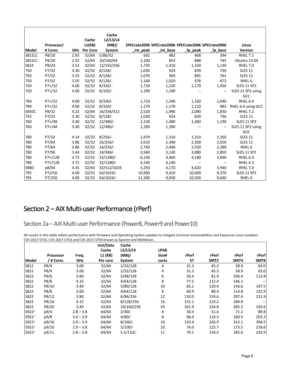|               |             |            |                 | Cache       |           |           |                                                     |                          |                    |
|---------------|-------------|------------|-----------------|-------------|-----------|-----------|-----------------------------------------------------|--------------------------|--------------------|
|               |             |            | Cache           | L2/L3/L4    |           |           |                                                     |                          |                    |
|               | Processor/  |            | L1(KB)          | (MB)/       |           |           | SPECrate2006 SPECrate2006 SPECrate2006 SPECrate2006 |                          | Linux              |
| Model         | # Cores     | <b>GHz</b> | <b>Per Core</b> | System      | _int_peak | _int_base | _fp_peak                                            | _fp_base                 | <b>Version</b>     |
| <b>S812LC</b> | P8/10       | 2.92       | 32/64           | 5/80/32     | 642       | 482       | 468                                                 | 394                      | <b>RHEL 7.1</b>    |
| <b>S822LC</b> | P8/20       | 2.92       | 32/64           | 10/160/64   | 1,100     | 853       | 888                                                 | 745                      | Ubuntu 14.04       |
| S824          | P8/24       | 3.52       | 32/64           | 12/192/256  | 1,720     | 1,310     | 1,330                                               | 1,130                    | <b>RHEL 7.0</b>    |
| 750           | P7/32       | 3.30       | 32/32           | $8/128$ /-  | 1,030     | 924       | 839                                                 | 736                      | <b>SLES 11</b>     |
| 750           | P7/32       | 3.55       | 32/32           | $8/128$ /-  | 1,070     | 960       | 865                                                 | 761                      | <b>SLES 11</b>     |
| 750           | P7/32       | 3.55       | 32/32           | $8/128$ /-  | 1,140     | 1,020     | 978                                                 | 873                      | RHEL <sub>6</sub>  |
| 750           | $P7+/32$    | 4.00       | 32/32           | $8/320/-$   | 1,710     | 1,230     | 1,170                                               | 1,050                    | <b>SLES 11 SP2</b> |
| 750           | $P7+ / 32$  | 4.00       | 32/32           | $8/320/-$   | 1,190     | 1,190     | $\overline{\phantom{a}}$                            | $\overline{\phantom{a}}$ | SLES 11 SP2 using  |
|               |             |            |                 |             |           |           |                                                     |                          | GCC                |
| 7R4           | $P7+/32$    | 4.00       | 32/32           | $8/320/-$   | 1,710     | 1,240     | 1,160                                               | 1,040                    | RHEL 6.4           |
| 7R4           | $P7+ / 32$  | 4.00       | 32/32           | $8/320/-$   | 1,170     | 1,170     | 1,110                                               | 983                      | RHEL 6.4 using GCC |
| <b>E850C</b>  | P8/32       | 4.22       | 32/64           | 16/256/512  | 2,520     | 1,990     | 2,090                                               | 1,830                    | <b>RHEL 7.2</b>    |
| 755           | P7/32       | 3.30       | 32/32           | $8/128$ /-  | 1,030     | 924       | 839                                                 | 736                      | <b>SLES 11</b>     |
| 760           | $P7+/48$    | 3.40       | 32/32           | $12/480/-$  | 2,130     | 1,480     | 1,360                                               | 1,190                    | <b>SLES 11 SP2</b> |
| 760           | $P7+/48$    | 3.40       | 32/32           | 12/480/-    | 1,390     | 1,390     | --                                                  | $\overline{\phantom{a}}$ | SLES 11 SP2 using  |
|               |             |            |                 |             |           |           |                                                     |                          | GCC                |
| 780           | P7/32       | 4.14       | 32/32           | $8/256$ /-  | 1,470     | 1,310     | 1,310                                               | 1,160                    | <b>SLES 11</b>     |
| 780           | P7/64       | 3.86       | 32/32           | $16/256$ /- | 2,610     | 2,340     | 2,300                                               | 2,010                    | <b>SLES 11</b>     |
| 780           | P7/64       | 3.86       | 32/32           | $16/256$ /- | 2,740     | 2,440     | 2,550                                               | 2,280                    | RHEL <sub>6</sub>  |
| 780           | P7/96       | 3.44       | 32/32           | 24/384/     | 3,560     | 3,140     | 3,080                                               | 2,850                    | <b>SLES 11 SP1</b> |
| 780           | $P7+ / 128$ | 3.72       | 32/32           | 32/1280/-   | 6,130     | 4,460     | 4,180                                               | 3,690                    | RHEL 6.3           |
| 780           | $P7+ / 128$ | 3.72       | 32/32           | 32/1280/-   | 4,140     | 4,140     | --                                                  | --                       | RHEL 6.3           |
| E880          | p8/64       | 4.35       | 32/64           | 32/512/1024 | 5,250     | 4,170     | 4,420                                               | 3,940                    | <b>RHEL 7.0</b>    |
| 795           | P7/256      | 4.00       | 32/32           | 64/1024/-   | 10,900    | 9,410     | 10,400                                              | 9,370                    | <b>SLES 11 SP1</b> |
| 795           | P7/256      | 4.00       | 32/32           | 64/1024/-   | 11,300    | 9,930     | 10,500                                              | 9,640                    | RHEL <sub>6</sub>  |

## Section 2 – AIX Multi-user Performance (rPerf)

Section 2a – AIX Multi-user Performance (Power8, Power9 and Power10)

All results in this table reflect performance with firmware and Operating System updates to mitigate Common Vulnerabilities and Exposures issue numbers CVE-2017-5715, CVE-2017-5753 and CVE-2017-5754 known as Spectre and Meltdown.

|                   |           |             | Inst/Data<br>Cache | Cache            |                      |           |       |       |                                     |
|-------------------|-----------|-------------|--------------------|------------------|----------------------|-----------|-------|-------|-------------------------------------|
|                   | Processor | Freq.       | L1 (KB)            | L2/L3/L4<br>(MB) | <b>LPAR</b><br>Size# | rPerf     | rPerf | rPerf | rPerf                               |
| Model             | / # Cores | GHz         | Per core           | System           | cores                | <b>ST</b> | SMT2  | SMT4  | SMT8                                |
| S812              | P8/4      | 3.00        | 32/64              | 2/32/128         | 4                    | 31.3      | 45.3  | 58.9  | 63.0                                |
| S822              | P8/4      | 3.00        | 32/64              | 2/32/128         | 4                    | 31.3      | 45.3  | 58.9  | 63.0                                |
| S822              | P8/6      | 3.80        | 32/64              | 3/48/128         | 6                    | 56.4      | 81.9  | 106.4 | 113.8                               |
| S822              | P8/8      | 4.15        | 32/64              | 4/64/128         | 8                    | 77.5      | 112.4 | 146.1 | $\hspace{0.05cm}$ $\hspace{0.05cm}$ |
| S822              | P8/10     | 3.40        | 32/64              | 5/80/128         | 10                   | 83.1      | 120.4 | 156.6 | 167.5                               |
| S822              | P8/8      | 3.00        | 32/64              | 4/64/128         | 8                    | 60.9      | 88.4  | 114.8 | 122.9                               |
| S822              | P8/12     | 3.80        | 32/64              | 6/96/256         | 12                   | 110.0     | 159.6 | 207.4 | 221.9                               |
| S822              | P8/16     | 4.15        | 32/64              | 8/128/256        | 16                   | 151.1     | 219.2 | 284.9 |                                     |
| S822              | P8/20     | 3.40        | 32/64              | 10/160/256       | 20                   | 161.9     | 234.8 | 305.2 | 326.6                               |
| S922 <sup>1</sup> | p9/4      | $2.8 - 3.8$ | 64/64              | $2/40/-$         | 4                    | 30.4      | 51.6  | 71.2  | 89.8                                |
| S9221             | p9/8      | $3.4 - 3.9$ | 64/64              | 4/80/            | 8                    | 68.4      | 116.3 | 160.5 | 202.3                               |
| S922 <sup>1</sup> | p9/16     | $3.4 - 3.9$ | 64/64              | $8/160/-$        | 16                   | 133.4     | 226.9 | 313.1 | 394.5                               |
| S922 <sup>1</sup> | p9/10     | $2.9 - 3.8$ | 64/64              | $5/100/-$        | 10                   | 74.0      | 125.7 | 173.5 | 218.6                               |
| S9221             | p9/11     | $2.8 - 3.8$ | 64/64              | $5.5/110/-$      | 11                   | 79.1      | 134.5 | 185.6 | 233.9                               |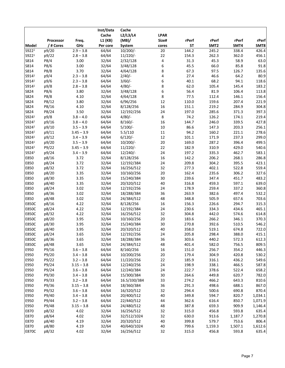|                   |           |              | Inst/Data | Cache        |             |           |                  |         |         |
|-------------------|-----------|--------------|-----------|--------------|-------------|-----------|------------------|---------|---------|
|                   |           |              | Cache     | L2/L3/L4     | <b>LPAR</b> |           |                  |         |         |
|                   | Processor | Freq.        | L1 (KB)   | (MB)/        | Size#       | rPerf     | rPerf            | rPerf   | rPerf   |
| Model             | / # Cores | GHz          | Per core  | System       | cores       | <b>ST</b> | SMT <sub>2</sub> | SMT4    | SMT8    |
| S9221             | p9/20     | $2.9 - 3.8$  | 64/64     | $10/200/-$   | 20          | 144.2     | 245.2            | 338.4   | 426.4   |
| S922 <sup>1</sup> | p9/22     | $2.8 - 3.8$  | 64/64     | $11/220/-$   | 22          | 154.3     | 262.3            | 362.0   | 456.1   |
| S814              | P8/4      | 3.00         | 32/64     | 2/32/128     | 4           | 31.3      | 45.3             | 58.9    | 63.0    |
| S814              | P8/6      | 3.00         | 32/64     | 3/48/128     | 6           | 45.5      | 66.0             | 85.8    | 91.8    |
| S814              | P8/8      | 3.70         | 32/64     | 4/64/128     | 8           | 67.3      | 97.5             | 126.7   | 135.6   |
| S914 <sup>1</sup> | p9/4      | $2.3 - 3.8$  | 64/64     | 2/40/        | 4           | 27.4      | 46.6             | 64.2    | 80.9    |
| S914 <sup>1</sup> | p9/6      | $2.3 - 3.8$  | 64/64     | $3/60/-$     | 6           | 40.1      | 68.2             | 94.1    | 118.6   |
| S914 <sup>1</sup> | p9/8      | $2.8 - 3.8$  | 64/64     | $4/80/-$     | 8           | 62.0      | 105.4            | 145.4   | 183.2   |
| S824              | P8/6      | 3.80         | 32/64     | 3/48/128     | 6           | 56.4      | 81.9             | 106.4   | 113.8   |
| S824              | P8/8      | 4.10         | 32/64     | 4/64/128     | 8           | 77.5      | 112.4            | 146.1   | 156.4   |
| S824              | P8/12     | 3.80         | 32/64     | 6/96/256     | 12          | 110.0     | 159.6            | 207.4   | 221.9   |
| S824              | P8/16     | 4.10         | 32/64     | 8/128/256    | 16          | 151.1     | 219.2            | 284.9   | 304.8   |
| S824              | P8/24     | 3.50         | 32/64     | 12/192/256   | 24          | 197.0     | 285.6            | 371.3   | 397.3   |
| S924 <sup>1</sup> | p9/8      | $3.8 - 4.0$  | 64/64     | $4/80/-$     | 8           | 74.2      | 126.2            | 174.1   | 219.4   |
| S924 <sup>1</sup> | p9/16     | $3.8 - 4.0$  | 64/64     | $8/160$ /-   | 16          | 144.7     | 246.0            | 339.5   | 427.8   |
| S9241             | p9/10     | $3.5 - 3.9$  | 64/64     | $5/100/-$    | $10\,$      | 86.6      | 147.3            | 203.3   | 256.1   |
| S9241             | p9/11     | $3.45 - 3.9$ | 64/64     | 5.5/110      | $11\,$      | 94.2      | 160.2            | 221.1   | 278.6   |
| S924 <sup>1</sup> | p9/12     | $3.4 - 3.9$  | 64/64     | $6/120/-$    | 12          | 101.1     | 171.9            | 237.3   | 299.0   |
| S9241             | p9/20     | $3.5 - 3.9$  | 64/64     | $10/200/-$   | 20          | 169.0     | 287.2            | 396.4   | 499.5   |
| S924 <sup>1</sup> | P9/22     | $3.45 - 3.9$ | 64/64     | $11/220/-$   | 22          | 182.9     | 310.9            | 429.0   | 540.6   |
| S924 <sup>1</sup> | p9/24     | $3.4 - 3.9$  | 64/64     | $12/240/-$   | 24          | 197.2     | 335.3            | 462.7   | 583.1   |
| E850              | p8/16     | 3.72         | 32/64     | 8/128/256    | 16          | 142.2     | 206.2            | 268.1   | 286.8   |
| E850              | p8/24     | 3.72         | 32/64     | 12/192/384   | 24          | 209.8     | 304.2            | 395.5   | 423.1   |
| E850              | p8/32     | 3.72         | 32/64     | 16/256/512   | 32          | 277.3     | 402.1            | 522.8   | 559.4   |
| E850              | p8/20     | 3.35         | 32/64     | 10/160/256   | 20          | 162.4     | 235.6            | 306.2   | 327.6   |
| E850              | p8/30     | 3.35         | 32/64     | 15/240/384   | 30          | 239.6     | 347.4            | 451.7   | 483.2   |
| E850              | p8/40     | 3.35         | 32/64     | 20/320/512   | 40          | 316.8     | 459.3            | 597.1   | 639.0   |
| E850              | p8/24     | 3.02         | 32/64     | 12/192/256   | 24          | 178.9     | 259.4            | 337.2   | 360.8   |
| E850              | p8/36     | 3.02         | 32/64     | 18/288/384   | 36          | 263.9     | 382.6            | 497.4   | 532.2   |
| E850              | p8/48     | 3.02         | 32/64     | 24/384/512   | 48          | 348.8     | 505.9            | 657.6   | 703.6   |
| <b>E850C</b>      | p8/16     | 4.22         | 32/64     | 8/128/256    | 16          | 156.3     | 226.6            | 294.7   | 315.3   |
| <b>E850C</b>      | p8/24     | 4.22         | 32/64     | 12/192/384   | 24          | 230.6     | 334.3            | 434.6   | 465.1   |
| <b>E850C</b>      | p8/32     | 4.22         | 32/64     | 16/256/512   | 32          | 304.8     | 442.0            | 574.6   | 614.8   |
| <b>E850C</b>      | p8/20     | 3.95         | 32/64     | 10/160/256   | 20          | 183.6     | 266.2            | 346.1   | 370.3   |
| <b>E850C</b>      | p8/30     | 3.95         | 32/64     | 15/240/384   | 30          | 270.8     | 392.6            | 510.5   | 546.2   |
| <b>E850C</b>      | p8/40     | 3.95         | 32/64     | 20/320/512   | 40          | 358.0     | 519.1            | 674.8   | 722.0   |
| <b>E850C</b>      | p8/24     | 3.65         | 32/64     | 12/192/256   | 24          | 205.8     | 298.4            | 388.0   | 415.1   |
| <b>E850C</b>      | p8/36     | 3.65         | 32/64     | 18/288/384   | 36          | 303.6     | 440.2            | 572.3   | 612.3   |
| <b>E850C</b>      | p8/48     | 3.65         | 32/64     | 24/384/512   | 48          | 401.4     | 582.0            | 756.5   | 809.5   |
| E950              | P9/16     | $3.6 - 3.8$  | 64/64     | 8/160/256    | 16          | 151.0     | 256.7            | 354.2   | 446.3   |
| E950              | P9/20     | $3.4 - 3.8$  | 64/64     | 10/200/256   | 20          | 179.4     | 304.9            | 420.8   | 530.2   |
| E950              | P9/22     | $3.2 - 3.8$  | 64/64     | 11/220/256   | 22          | 185.9     | 316.1            | 436.2   | 549.6   |
| E950              | P9/24     | $3.15 - 3.8$ | 64/64     | 12/240/256   | 24          | 198.9     | 338.1            | 466.5   | 587.8   |
| E950              | P9/24     | $3.6 - 3.8$  | 64/64     | 12/240/384   | 24          | 222.7     | 378.6            | 522.4   | 658.2   |
| E950              | P9/30     | $3.4 - 3.8$  | 64/64     | 15/300/384   | 30          | 264.6     | 449.8            | 620.7   | 782.0   |
| E950              | P9/33     | $3.2 - 3.8$  | 64/64     | 16.5/330/384 | 33          | 274.2     | 466.2            | 643.3   | 810.6   |
| E950              | P9/36     | $3.15 - 3.8$ | 64/64     | 18/360/384   | 36          | 291.3     | 498.6            | 688.1   | 867.0   |
| E950              | P9/32     | $3.6 - 3.8$  | 64/64     | 16/320/512   | 32          | 294.4     | 500.6            | 690.8   | 870.4   |
| E950              | P9/40     | $3.4 - 3.8$  | 64/64     | 20/400/512   | 40          | 349.8     | 594.7            | 820.7   | 1,034.1 |
| E950              | P9/44     | $3.2 - 3.8$  | 64/64     | 22/440/512   | 44          | 362.6     | 616.4            | 850.7   | 1,071.9 |
| E950              | P9/48     | $3.15 - 3.8$ | 64/64     | 24/480/512   | 48          | 387.8     | 659.3            | 909.9   | 1,146.4 |
| E870              | p8/32     | 4.02         | 32/64     | 16/256/512   | 32          | 315.0     | 456.8            | 593.8   | 635.4   |
| E870              | p8/64     | 4.02         | 32/64     | 32/512/1024  | 32          | 630.0     | 913.6            | 1,187.7 | 1,270.8 |
| E870              | p8/40     | 4.19         | 32/64     | 20/320/512   | 40          | 399.8     | 579.7            | 753.6   | 806.4   |
| E870              | p8/80     | 4.19         | 32/64     | 40/640/1024  | 40          | 799.6     | 1,159.3          | 1,507.1 | 1,612.6 |
| <b>E870C</b>      | p8/32     | 4.02         | 32/64     | 16/256/512   | 32          | 315.0     | 456.8            | 593.8   | 635.4   |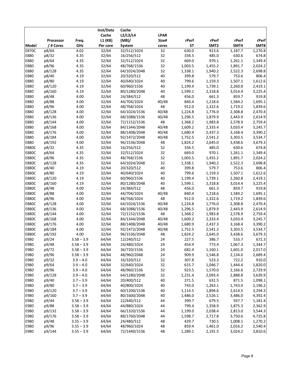|              |           |                              | Inst/Data | Cache        |                 |                |                  |                    |                    |
|--------------|-----------|------------------------------|-----------|--------------|-----------------|----------------|------------------|--------------------|--------------------|
|              |           |                              | Cache     | L2/L3/L4     | <b>LPAR</b>     |                |                  |                    |                    |
|              | Processor | Freq.                        | L1 (KB)   | (MB)/        | Size#           | rPerf          | rPerf            | rPerf              | rPerf              |
| Model        | / # Cores | GHz                          | Per core  | System       | cores           | <b>ST</b>      | SMT <sub>2</sub> | SMT4               | SMT8               |
| E870C        | p8/64     | 4.02                         | 32/64     | 32/512/1024  | $\overline{32}$ | 630.0          | 913.6            | 1,187.7            | 1,270.8            |
| E880         | p8/32     | 4.35                         | 32/64     | 16/256/512   | 32              | 334.5          | 485.0            | 630.6              | 674.8              |
| E880         | p8/64     | 4.35                         | 32/64     | 32/512/1024  | 32              | 669.0          | 970.1            | 1,261.1            | 1,349.4            |
| E880         | p8/96     | 4.35                         | 32/64     | 48/768/1536  | 32              | 1,003.5        | 1,455.2          | 1,891.7            | 2,024.2            |
| E880         | p8/128    | 4.35                         | 32/64     | 64/1024/2048 | 32              | 1,338.1        | 1,940.2          | 2,522.3            | 2,698.8            |
| E880         | p8/40     | 4.19                         | 32/64     | 20/320/512   | 40              | 399.8          | 579.7            | 753.6              | 806.4              |
| E880         | p8/80     | 4.19                         | 32/64     | 40/640/1024  | 40              | 799.6          | 1,159.3          | 1,507.1            | 1,612.6            |
| E880         | p8/120    | 4.19                         | 32/64     | 60/960/1536  | 40              | 1,199.4        | 1,739.1          | 2,260.8            | 2,419.1            |
| E880         | p8/160    | 4.19                         | 32/64     | 80/1280/2048 | 40              | 1,599.1        | 2,318.8          | 3,014.4            | 3,225.4            |
| E880         | p8/48     | 4.00                         | 32/64     | 24/384/512   | 48              | 456.0          | 661.3            | 859.7              | 919.8              |
| E880         | p8/88     | 4.00                         | 32/64     | 44/704/1024  | 40/48           | 840.4          | 1,218.6          | 1,584.2            | 1,695.1            |
| E880         | p8/96     | 4.00                         | 32/64     | 48/768/1024  | 48              | 912.0          | 1,322.6          | 1,719.2            | 1,839.6            |
| E880         | p8/128    | 4.00                         | 32/64     | 64/1024/1536 | 40/48           | 1,224.8        | 1,776.0          | 2,308.8            | 2,470.4            |
| E880         | p8/136    | 4.00                         | 32/64     | 68/1088/1536 | 40/48           | 1,296.5        | 1,879.9          | 2,443.9            | 2,614.9            |
| E880         | p8/144    | 4.00                         | 32/64     | 72/1152/1536 | 48              | 1,368.2        | 1,983.8          | 2,578.9            | 2,759.4            |
| E880         | p8/168    | 4.00                         | 32/64     | 84/1344/2048 | 40/48           | 1,609.2        | 2,333.4          | 3,033.4            | 3,245.7            |
| E880         | p8/176    | 4.00                         | 32/64     | 88/1408/2048 | 40/48           | 1,680.9        | 2,437.3          | 3,168.4            | 3,390.2            |
| E880         | p8/184    | 4.00                         | 32/64     | 92/1472/2048 | 40/48           | 1,752.5        | 2,541.2          | 3,303.5            | 3,534.7            |
| E880         | p8/192    | 4.00                         | 32/64     | 96/1536/2048 | 48              | 1,824.2        | 2,645.0          | 3,438.6            | 3,679.3            |
| <b>E880C</b> | p8/32     | 4.35                         | 32/64     | 16/256/512   | 32              | 334.5          | 485.0            | 630.6              | 674.8              |
| E880C        | p8/64     | 4.35                         | 32/64     | 32/512/1024  | 32              | 669.0          | 970.1            | 1,261.1            | 1,349.4            |
| <b>E880C</b> | p8/96     | 4.35                         | 32/64     | 48/768/1536  | 32              | 1,003.5        | 1,455.2          | 1,891.7            | 2,024.2            |
| <b>E880C</b> | p8/128    | 4.35                         | 32/64     | 64/1024/2048 | 32              | 1,338.1        | 1,940.2          | 2,522.3            | 2,698.8            |
| <b>E880C</b> | p8/40     | 4.19                         | 32/64     | 20/320/512   | 40              | 399.8          | 579.7            | 753.6              | 806.4              |
| E880C        | p8/80     | 4.19                         | 32/64     | 40/640/1024  | 40              | 799.6          | 1,159.3          | 1,507.1            | 1,612.6            |
| <b>E880C</b> | p8/120    | 4.19                         | 32/64     | 60/960/1536  | 40              | 1,199.4        | 1,739.1          | 2,260.8            | 2,419.1            |
| <b>E880C</b> | p8/160    | 4.19                         | 32/64     | 80/1280/2048 | 40              | 1,599.1        | 2,318.8          | 3,014.4            | 3,225.4            |
| <b>E880C</b> | p8/48     | 4.00                         | 32/64     | 24/384/512   | 48              | 456.0          | 661.3            | 859.7              | 919.8              |
| <b>E880C</b> | p8/88     | 4.00                         | 32/64     | 44/704/1024  | 40/48           | 840.4          | 1,218.6          | 1,584.2            | 1,695.1            |
| <b>E880C</b> | p8/96     | 4.00                         | 32/64     | 48/768/1024  | 48              | 912.0          | 1,322.6          | 1,719.2            | 1,839.6            |
| E880C        | p8/128    | 4.00                         | 32/64     | 64/1024/1536 | 40/48           | 1,224.8        | 1,776.0          | 2,308.8            | 2,470.4            |
| <b>E880C</b> | p8/136    | 4.00                         | 32/64     | 68/1088/1536 | 40/48           | 1,296.5        | 1,879.9          | 2,443.9            | 2,614.9            |
| <b>E880C</b> | p8/144    | 4.00                         | 32/64     | 72/1152/1536 | 48              | 1,368.2        | 1,983.8          | 2,578.9            | 2,759.4            |
| <b>E880C</b> | p8/168    | 4.00                         | 32/64     | 84/1344/2048 | 40/48           | 1,609.2        | 2,333.4          | 3,033.4            | 3,245.7            |
| <b>E880C</b> | p8/176    | 4.00                         | 32/64     | 88/1408/2048 | 40/48           | 1,680.9        | 2,437.3          | 3,168.4            | 3,390.2            |
| <b>E880C</b> | p8/184    | 4.00                         | 32/64     | 92/1472/2048 | 40/48           | 1,752.5        | 2,541.2          | 3,303.5            | 3,534.7            |
| <b>E880C</b> | p8/192    | 4.00                         | 32/64     | 96/1536/2048 | 48              | 1,824.2        | 2,645.0          | 3,438.6            | 3,679.3            |
| E980         | p9/24     | $3.58 - 3.9$                 | 64/64     | 12/240/512   | 24              | 227.5          | 386.7            | 533.7              | 672.3              |
| E980         | p9/48     | $3.58 - 3.9$                 | 64/64     | 24/480/1024  | 24              | 454.9          | 773.4            | 1,067.3            | 1,344.7            |
| E980         | p9/72     | $3.58 - 3.9$                 | 64/64     | 36/720/1536  | 24              | 682.4          | 1,160.1          | 1,601.0            | 2,017.0            |
| E980         | p9/96     | $3.58 - 3.9$                 | 64/64     | 48/960/2048  | 24              | 909.9          | 1,546.8          | 2,134.6            | 2,689.4            |
| E980         | p9/32     | $3.9 - 4.0$                  | 64/64     | 16/320/512   | 32              | 307.8          | 523.3            | 722.2              | 910.0              |
| E980         | p9/64     | $3.9 - 4.0$                  | 64/64     | 32/640/1024  | 32              | 615.7          | 1,046.7          | 1,444.4            | 1,820.0            |
| E980         | p9/96     | $3.9 - 4.0$                  | 64/64     | 48/960/1536  | 32              | 923.5          | 1,570.0          | 2,166.6            | 2,729.9            |
| E980         | p9/128    | $3.9 - 4.0$                  | 64/64     | 64/1280/2048 | 32              | 1,231.4        | 2,093.4          | 2,888.8            | 3,639.9            |
| E980         | p9/40     | $3.7 - 3.9$                  | 64/64     | 20/400/512   | 40              | 371.5          | 631.5            | 871.5              | 1,098.1            |
| E980         | p9/80     | $3.7 - 3.9$                  | 64/64     | 40/800/1024  | 40              | 743.0          | 1,263.1          | 1,743.0            | 2,196.2            |
| E980         | p9/120    | $3.7 - 3.9$                  | 64/64     | 60/1200/1536 | 40              | 1,114.5        | 1,894.6          | 2,614.5            | 3,294.3            |
| E980         | p9/160    | $3.7 - 3.9$                  | 64/64     | 80/1600/2048 | 40              | 1,486.0        | 2,526.1          | 3,486.0            | 4,392.4            |
| E980         | p9/44     |                              | 64/64     | 22/440/512   | 44              | 399.7          | 679.5            | 937.7              |                    |
| E980         | p9/88     | $3.58 - 3.9$                 | 64/64     | 44/880/1024  | 44              | 799.4          | 1,358.9          |                    | 1,181.4<br>2,362.9 |
| E980         | p9/132    | $3.58 - 3.9$<br>$3.58 - 3.9$ | 64/64     | 66/1320/1536 | 44              | 1,199.0        | 2,038.4          | 1,875.3            | 3,544.3            |
| E980         | p9/176    | $3.58 - 3.9$                 | 64/64     | 88/1760/2048 | 44              | 1,598.7        | 2,717.8          | 2,813.0<br>3,750.6 | 4,725.8            |
|              | p9/48     |                              | 64/64     | 24/480/512   |                 |                | 730.5            |                    |                    |
| E980<br>E980 | p9/96     | $3.55 - 3.9$<br>$3.55 - 3.9$ | 64/64     | 48/960/1024  | 48<br>48        | 429.7<br>859.4 | 1,461.0          | 1,008.1            | 1,270.2<br>2,540.4 |
|              |           |                              |           |              |                 |                |                  | 2,016.2            |                    |
| E980         | p9/144    | $3.55 - 3.9$                 | 64/64     | 72/1440/1536 | 48              | 1,289.1        | 2,191.5          | 3,024.2            | 3,810.6            |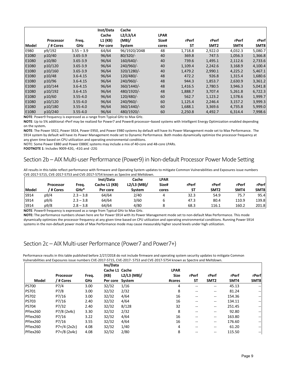|       |           |              | Inst/Data | Cache        |             |         |                  |         |         |
|-------|-----------|--------------|-----------|--------------|-------------|---------|------------------|---------|---------|
|       |           |              | Cache     | L2/L3/L4     | <b>LPAR</b> |         |                  |         |         |
|       | Processor | Freq.        | L1 (KB)   | (MB)/        | Size#       | rPerf   | rPerf            | rPerf   | rPerf   |
| Model | / # Cores | <b>GHz</b>   | Per core  | System       | cores       | SΤ      | SMT <sub>2</sub> | SMT4    | SMT8    |
| E980  | p9/192    | $3.55 - 3.9$ | 64/64     | 96/1920/2048 | 48          | 1,718.8 | 2,922.0          | 4,032.3 | 5,080.7 |
| E1080 | p10/40    | $3.65 - 3.9$ | 96/64     | $80/320/-$   | 40          | 369.8   | 747.5            | 1,056.3 | 1,366.8 |
| E1080 | p10/80    | $3.65 - 3.9$ | 96/64     | 160/640/     | 40          | 739.6   | 1,495.1          | 2,112.6 | 2,733.6 |
| E1080 | p10/120   | $3.65 - 3.9$ | 96/64     | 240/960/-    | 40          | 1,109.4 | 2,242.6          | 3,168.9 | 4,100.4 |
| E1080 | p10/160   | $3.65 - 3.9$ | 96/64     | 320/1280/-   | 40          | 1,479.2 | 2,990.1          | 4,225.2 | 5,467.1 |
| E1080 | p10/48    | $3.6 - 4.15$ | 96/64     | 120/480/-    | 48          | 472.2   | 926.8            | 1,315.4 | 1,680.6 |
| E1080 | p10/96    | $3.6 - 4.15$ | 96/64     | 240/960/-    | 48          | 944.3   | 1,853.7          | 2,630.9 | 3,361.2 |
| E1080 | p10/144   | $3.6 - 4.15$ | 96/64     | 360/1440/-   | 48          | 1,416.5 | 2,780.5          | 3,946.3 | 5,041.8 |
| E1080 | p10/192   | $3.6 - 4.15$ | 96/64     | 480/1920/-   | 48          | 1,888.7 | 3,707.4          | 5,261.8 | 6,722.3 |
| E1080 | p10/60    | $3.55 - 4.0$ | 96/64     | 120/480/-    | 60          | 562.7   | 1,123.2          | 1,578.6 | 1,999.7 |
| E1080 | p10/120   | $3.55 - 4.0$ | 96/64     | 240/960/-    | 60          | 1,125.4 | 2,246.4          | 3,157.2 | 3,999.3 |
| E1080 | p10/180   | $3.55 - 4.0$ | 96/64     | 360/1440/-   | 60          | 1,688.1 | 3,369.6          | 4,735.8 | 5,999.0 |
| E1080 | p10/240   | $3.55 - 4.0$ | 96/64     | 480/1920/-   | 60          | 2,250.8 | 4,492.7          | 6,314.4 | 7,998.6 |

**NOTE**: Power9 frequency is expressed as a range from Typical GHz to Max GHz.

**NOTE**: Up to 5% additional rPerf may be realized for Power7 and Power8 processor–based systems with Intelligent Energy Optimization enabled depending on the system**.**

**NOTE**: The Power S922, Power S924, Power E950, and Power E980 systems by default will have its Power Management mode set to Max Performance. The S914 system by default will have its Power Management mode set to Dynamic Performance. Both modes dynamically optimize the processor frequency at any given time based on CPU utilization and operating environmental conditions.

NOTE: Some Power E880 and Power E880C systems may include a mix of 40-core and 48-core LPARs.

**FOOTNOTE 1**: Includes 9009-42G, -41G and -22G

### Section 2b – AIX Multi-user Performance (Power9) in Non-default Processor Power Mode Setting

All results in this table reflect performance with firmware and Operating System updates to mitigate Common Vulnerabilities and Exposures issue numbers CVE-2017-5715, CVE-2017-5753 and CVE-2017-5754 known as Spectre and Meltdown.

|       |                  |             | Inst/Data     | Cache         | <b>LPAR</b> |           |                  |       |       |
|-------|------------------|-------------|---------------|---------------|-------------|-----------|------------------|-------|-------|
|       | <b>Processor</b> | Freq.       | Cache L1 (KB) | $L2/L3$ (MB)/ | Size#       | rPerf     | rPerf            | rPerf | rPerf |
| Model | ' # Cores        | GHz*        | Per core      | Svstem        | cores       | <b>ST</b> | SMT <sub>2</sub> | SMT4  | SMT8  |
| S914  | p9/4             | $2.3 - 3.8$ | 64/64         | 2/40          |             | 32.3      | 54.9             | 75.7  | 95.4  |
| S914  | p9/6             | $2.3 - 3.8$ | 64/64         | 3/60          |             | 47.3      | 80.4             | 110.9 | 139.8 |
| S914  | p9/8             | $2.8 - 3.8$ | 64/64         | 4/80          |             | 68.3      | 116.1            | 160.2 | 201.8 |

**NOTE**: Power9 frequency is expressed as a range from Typical GHz to Max GHz.

**NOTE:** The performance numbers shown here are for Power S914 with its Power Management mode set to non-default Max Performance. This mode dynamically optimizes the processor frequency at any given time based on CPU utilization and operating environmental conditions. Running Power S914 systems in the non-default power mode of Max Performance mode may cause measurably higher sound levels under high utilization.

### Section 2c – AIX Multi-user Performance (Power7 and Power7+)

|              |                |       | Ins/Data       |               |             |           |                  |        |                          |
|--------------|----------------|-------|----------------|---------------|-------------|-----------|------------------|--------|--------------------------|
|              |                |       | Cache L1 Cache |               | <b>LPAR</b> |           |                  | rPerf  | rPerf                    |
|              | Processor      | Freq. | (KB)           | $L2/L3$ (MB)/ | <b>Size</b> | rPerf     | rPerf            |        |                          |
| Model        | / # Cores      | GHz   | Per core       | System        | #cores      | <b>ST</b> | SMT <sub>2</sub> | SMT4   | SMT8                     |
| <b>PS700</b> | P7/4           | 3.00  | 32/32          | 1/16          | 4           | --        | --               | 45.13  | $- -$                    |
| <b>PS701</b> | P7/8           | 3.00  | 32/32          | 2/32          | 8           | --        | $- -$            | 81.24  | $\overline{\phantom{a}}$ |
| <b>PS702</b> | P7/16          | 3.00  | 32/32          | 4/64          | 16          | --        | $- -$            | 154.36 | $\overline{\phantom{a}}$ |
| <b>PS703</b> | P7/16          | 2.40  | 32/32          | 4/64          | 16          | --        | --               | 134.11 | --                       |
| <b>PS704</b> | P7/32          | 2.40  | 32/32          | 8/128         | 32          | --        | $- -$            | 251.45 | $\hspace{0.05cm}$        |
| PFlex260     | P7/8 (2x4c)    | 3.30  | 32/32          | 2/32          | 8           | --        | $- -$            | 92.80  | $\overline{\phantom{a}}$ |
| PFlex260     | P7/16          | 3.22  | 32/32          | 4/64          | 16          | --        | --               | 163.80 | $\hspace{0.05cm}$        |
| PFlex260     | P7/16          | 3.55  | 32/32          | 4/64          | 16          | --        | --               | 176.60 | $\overline{\phantom{a}}$ |
| PFlex260     | $P7+/4$ (2x2c) | 4.08  | 32/32          | 1/40          | 4           | --        | $- -$            | 61.20  | $\overline{\phantom{a}}$ |
| PFlex260     | $P7+/8$ (2x4c) | 4.08  | 32/32          | 2/80          | 8           | --        | --               | 115.50 | $\hspace{0.05cm}$        |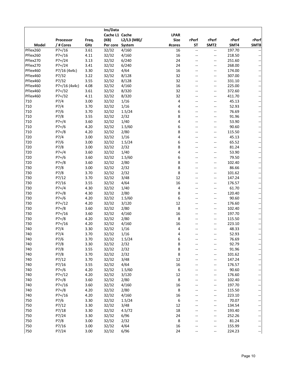|              |               |       | Ins/Data        |             |                  |                          |                          |        |       |
|--------------|---------------|-------|-----------------|-------------|------------------|--------------------------|--------------------------|--------|-------|
|              |               |       | Cache L1 Cache  |             | <b>LPAR</b>      |                          |                          |        |       |
|              | Processor     | Freq. | (KB)            | L2/L3 (MB)/ | <b>Size</b>      | rPerf                    | rPerf                    | rPerf  | rPerf |
| <b>Model</b> | / # Cores     | GHz   | Per core System |             | #cores           | ST                       | SMT <sub>2</sub>         | SMT4   | SMT8  |
| PFlex260     | $P7+/16$      | 3.61  | 32/32           | 4/160       | 16               | $\overline{\phantom{a}}$ | $\overline{\phantom{a}}$ | 197.70 |       |
| PFlex260     | $P7+/16$      | 4.11  | 32/32           | 4/160       | 16               | $-$                      | --                       | 218.50 |       |
| PFlex270     | $P7+/24$      | 3.13  | 32/32           | 6/240       | 24               | $\frac{1}{2}$            | $\overline{a}$           | 251.60 |       |
| PFlex270     | $P7+/24$      | 3.41  | 32/32           | 6/240       | 24               | --                       | $\overline{\phantom{a}}$ | 268.00 |       |
| PFlex460     | P7/16 (4x4c)  | 3.30  | 32/32           | 4/64        | 16               |                          | --                       | 174.00 |       |
| PFlex460     |               | 3.22  |                 |             | 32               | $\frac{1}{2}$            | $\overline{\phantom{a}}$ |        |       |
| PFlex460     | P7/32         |       | 32/32           | 8/128       | 32               |                          |                          | 307.00 |       |
|              | P7/32         | 3.55  | 32/32           | 8/128       |                  |                          | --                       | 331.10 |       |
| PFlex460     | P7+/16 (4x4c) | 4.08  | 32/32           | 4/160       | 16               |                          | --                       | 225.00 |       |
| PFlex460     | $P7+/32$      | 3.61  | 32/32           | 8/320       | 32               | $-$                      | --                       | 372.60 |       |
| PFlex460     | $P7+/32$      | 4.11  | 32/32           | 8/320       | 32               | $-$                      | $\overline{\phantom{a}}$ | 411.70 |       |
| 710          | P7/4          | 3.00  | 32/32           | 1/16        | 4                |                          | --                       | 45.13  |       |
| 710          | P7/4          | 3.70  | 32/32           | 1/16        | 4                | $\qquad \qquad -$        | --                       | 52.93  |       |
| 710          | P7/6          | 3.70  | 32/32           | 1.5/24      | 6                | $=$                      | --                       | 76.69  |       |
| 710          | P7/8          | 3.55  | 32/32           | 2/32        | 8                | $-$                      | --                       | 91.96  |       |
| 710          | $P7+/4$       | 3.60  | 32/32           | 1/40        | 4                | $-$                      | --                       | 53.90  |       |
| 710          | $P7+/6$       | 4.20  | 32/32           | 1.5/60      | 6                | --                       | --                       | 90.60  |       |
| 710          | $P7+/8$       | 4.20  | 32/32           | 2/80        | 8                |                          | --                       | 115.50 |       |
| 720          | P7/4          | 3.00  | 32/32           | 1/16        | 4                | --                       | --                       | 45.13  |       |
| 720          | P7/6          | 3.00  | 32/32           | 1.5/24      | 6                |                          | --                       | 65.52  |       |
| 720          | P7/8          | 3.00  | 32/32           | 2/32        | 8                | $-$                      | --                       | 81.24  |       |
| 720          | $P7+/4$       | 3.60  | 32/32           | 1/40        | 4                | $-$                      | --                       | 53.90  |       |
| 720          | $P7+/6$       | 3.60  | 32/32           | 1.5/60      | 6                |                          | --                       | 79.50  |       |
| 720          | $P7+/8$       | 3.60  | 32/32           | 2/80        | 8                |                          | --                       | 102.40 |       |
| 730          | P7/8          | 3.00  | 32/32           | 2/32        | 8                | $-$                      | --                       | 86.66  |       |
| 730          | P7/8          | 3.70  | 32/32           | 2/32        | 8                |                          | --                       | 101.62 |       |
| 730          | P7/12         | 3.70  | 32/32           | 3/48        | 12               |                          | --                       | 147.24 |       |
| 730          | P7/16         | 3.55  | 32/32           | 4/64        | 16               | $-$                      | --                       | 176.57 |       |
| 730          | $P7+/4$       | 4.30  | 32/32           | 1/40        | $\overline{4}$   | $-$                      | --                       | 61.70  |       |
| 730          | $P7+/8$       | 4.30  | 32/32           | 2/80        | 8                |                          | --                       | 120.40 |       |
| 730          | $P7+/6$       | 4.20  | 32/32           | 1.5/60      | 6                | $-$                      | --                       | 90.60  |       |
| 730          | $P7+/12$      | 4.20  | 32/32           | 3/120       | 12               |                          | $-$                      | 176.60 |       |
| 730          | $P7+/8$       | 3.60  | 32/32           | 2/80        | $\,8\,$          |                          | --                       | 102.40 |       |
| 730          | $P7+/16$      | 3.60  | 32/32           | 4/160       | 16               | --                       | --                       | 197.70 |       |
| 730          | $P7+/8$       | 4.20  | 32/32           | 2/80        | 8                | $\frac{1}{2}$            | $\overline{\phantom{a}}$ | 115.50 |       |
| 730          |               |       |                 |             |                  |                          |                          |        |       |
|              | $P7+/16$      | 4.20  | 32/32           | 4/160       | 16               |                          | --                       | 223.10 |       |
| 740          | P7/4          | 3.30  | 32/32           | 1/16        | 4                |                          | --                       | 48.33  |       |
| 740          | P7/4          | 3.70  | 32/32           | 1/16        | 4                |                          | $-$                      | 52.93  |       |
| 740          | P7/6          | 3.70  | 32/32           | 1.5/24      | 6                |                          |                          | 76.69  |       |
| 740          | P7/8          | 3.30  | 32/32           | 2/32        | 8                |                          | --                       | 92.79  |       |
| 740          | P7/8          | 3.55  | 32/32           | 2/32        | 8                |                          | --                       | 91.96  |       |
| 740          | P7/8          | 3.70  | 32/32           | 2/32        | 8                | --                       | --                       | 101.62 |       |
| 740          | P7/12         | 3.70  | 32/32           | 3/48        | 12               |                          | --                       | 147.24 |       |
| 740          | P7/16         | 3.55  | 32/32           | 4/64        | 16               |                          | --                       | 176.57 |       |
| 740          | $P7+/6$       | 4.20  | 32/32           | 1.5/60      | 6                | --                       | --                       | 90.60  |       |
| 740          | $P7+ / 12$    | 4.20  | 32/32           | 3/120       | 12               | --                       | --                       | 176.60 |       |
| 740          | $P7+/8$       | 3.60  | 32/32           | 2/80        | $\,8\,$          |                          | --                       | 102.40 |       |
| 740          | $P7+/16$      | 3.60  | 32/32           | 4/160       | 16               |                          | --                       | 197.70 |       |
| 740          | $P7+/8$       | 4.20  | 32/32           | 2/80        | 8                |                          | --                       | 115.50 |       |
| 740          | $P7+/16$      | 4.20  | 32/32           | 4/160       | 16               |                          | --                       | 223.10 |       |
| 750          | P7/6          | 3.30  | 32/32           | 1.5/24      | $\boldsymbol{6}$ |                          | --                       | 70.07  |       |
| 750          | P7/12         | 3.30  | 32/32           | 3/48        | $12\,$           |                          | $\overline{\phantom{a}}$ | 134.54 |       |
| 750          | P7/18         | 3.30  | 32/32           | 4.5/72      | $18\,$           |                          | $\overline{\phantom{a}}$ | 193.40 |       |
| 750          | P7/24         | 3.30  | 32/32           | 6/96        | 24               |                          | --                       | 252.26 |       |
| 750          | P7/8          | 3.00  | 32/32           | 2/32        | 8                |                          | --                       | 81.24  | $-\!$ |
| 750          | P7/16         | 3.00  | 32/32           | 4/64        | 16               | --                       | --                       | 155.99 |       |
| 750          | P7/24         | 3.00  | 32/32           | 6/96        | 24               | --                       | --                       | 224.23 |       |
|              |               |       |                 |             |                  |                          |                          |        |       |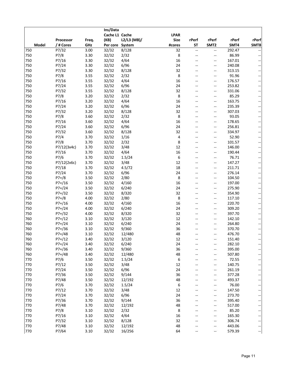|              |             |       | Ins/Data        |             |             |                          |                          |        |                          |
|--------------|-------------|-------|-----------------|-------------|-------------|--------------------------|--------------------------|--------|--------------------------|
|              |             |       | Cache L1 Cache  |             | <b>LPAR</b> |                          |                          |        |                          |
|              | Processor   | Freq. | (KB)            | L2/L3 (MB)/ | <b>Size</b> | rPerf                    | rPerf                    | rPerf  | rPerf                    |
| <b>Model</b> | / # Cores   | GHz   | Per core System |             | #cores      | <b>ST</b>                | SMT <sub>2</sub>         | SMT4   | SMT8                     |
| 750          | P7/32       | 3.00  | 32/32           | 8/128       | 32          | $\overline{\phantom{a}}$ | $\overline{\phantom{a}}$ | 292.47 |                          |
| 750          | P7/8        | 3.30  | 32/32           | 2/32        | 8           | $-$                      | $-$                      | 86.99  |                          |
| 750          | P7/16       | 3.30  | 32/32           | 4/64        | 16          | $\overline{a}$           | --                       | 167.01 |                          |
| 750          | P7/24       | 3.30  | 32/32           | 6/96        | 24          | --                       | $\overline{\phantom{a}}$ | 240.08 |                          |
| 750          | P7/32       | 3.30  | 32/32           | 8/128       | 32          |                          | $\overline{\phantom{a}}$ | 313.15 |                          |
| 750          | P7/8        | 3.55  | 32/32           | 2/32        | 8           | --                       | $\overline{a}$           | 91.96  |                          |
| 750          | P7/16       | 3.55  | 32/32           | 4/64        | 16          | --                       | --                       | 176.57 |                          |
| 750          | P7/24       | 3.55  | 32/32           | 6/96        | 24          | --                       | --                       | 253.82 |                          |
| 750          | P7/32       | 3.55  | 32/32           | 8/128       | 32          | --                       | $\overline{a}$           | 331.06 |                          |
| 750          | P7/8        | 3.20  | 32/32           | 2/32        | 8           | --                       | $\overline{\phantom{a}}$ | 85.29  |                          |
| 750          | P7/16       | 3.20  | 32/32           | 4/64        | 16          | --                       | $\overline{\phantom{a}}$ | 163.75 |                          |
| 750          | P7/24       | 3.20  | 32/32           | 6/96        | 24          | --                       | $\overline{\phantom{a}}$ | 235.39 |                          |
| 750          | P7/32       | 3.20  | 32/32           | 8/128       | 32          | --                       | $\overline{\phantom{a}}$ | 307.03 |                          |
| 750          | P7/8        | 3.60  | 32/32           | 2/32        | 8           | --                       | --                       | 93.05  |                          |
| 750          | P7/16       | 3.60  | 32/32           | 4/64        | 16          | $\overline{a}$           | $\overline{\phantom{a}}$ | 178.65 |                          |
| 750          | P7/24       | 3.60  | 32/32           | 6/96        | 24          | --                       | $\overline{\phantom{a}}$ | 256.81 |                          |
| 750          | P7/32       | 3.60  | 32/32           | 8/128       | 32          | --                       | $\overline{\phantom{a}}$ | 334.97 |                          |
| 750          | P7/4        | 3.70  | 32/32           | 1/16        | 4           | --                       | $\overline{a}$           | 52.90  |                          |
| 750          | P7/8        | 3.70  | 32/32           | 2/32        | 8           | --                       | --                       | 101.57 |                          |
| 750          | P7/12(3x4c) | 3.70  | 32/32           | 3/48        | 12          | --                       | --                       | 146.00 |                          |
| 750          | P7/16       | 3.70  | 32/32           | 4/64        | 16          | --                       | --                       | 190.44 |                          |
| 750          | P7/6        | 3.70  | 32/32           | 1.5/24      | 6           | $\overline{a}$           | $\overline{\phantom{a}}$ | 76.71  |                          |
| 750          | P7/12(2x6c) | 3.70  | 32/32           | 3/48        | 12          |                          | $\overline{\phantom{a}}$ | 147.27 |                          |
| 750          | P7/18       | 3.70  | 32/32           | 4.5/72      | 18          | --                       | $\overline{\phantom{a}}$ | 211.71 |                          |
| 750          | P7/24       | 3.70  | 32/32           | 6/96        | 24          | --                       | $\overline{\phantom{a}}$ | 276.14 |                          |
| 750          | $P7+/8$     | 3.50  | 32/32           | 2/80        | 8           | --                       | --                       | 104.50 |                          |
| 750          | $P7+/16$    | 3.50  | 32/32           | 4/160       | 16          | --                       | --                       | 197.00 |                          |
| 750          | $P7+/24$    | 3.50  | 32/32           | 6/240       | 24          | $\overline{a}$           | $\overline{\phantom{a}}$ | 275.90 |                          |
| 750          | $P7+ / 32$  | 3.50  | 32/32           | 8/320       | 32          |                          | $\overline{\phantom{a}}$ | 354.90 |                          |
| 750          | $P7+/8$     | 4.00  | 32/32           | 2/80        | 8           | --                       | $\overline{a}$           | 117.10 |                          |
| 750          | $P7+/16$    | 4.00  | 32/32           | 4/160       | 16          |                          | $-$                      | 220.70 |                          |
| 750          | $P7+/24$    | 4.00  | 32/32           | 6/240       | 24          | --                       | --                       | 309.20 |                          |
| 750          | $P7+ / 32$  | 4.00  | 32/32           | 8/320       | 32          | --                       | --                       | 397.70 |                          |
| 760          | $P7+/12$    | 3.10  | 32/32           | 3/120       | 12          | $\overline{a}$           | $-$                      | 142.10 |                          |
| 760          | $P7+/24$    | 3.10  | 32/32           | 6/240       | 24          | --                       | $-\!$                    | 264.80 |                          |
| 760          | $P7+/36$    | 3.10  | 32/32           | 9/360       | 36          |                          | --                       | 370.70 |                          |
| 760          | P7+/48      | 3.10  | 32/32           | 12/480      | 48          |                          | $-$                      | 476.70 |                          |
| 760          | $P7+ / 12$  | 3.40  | 32/32           | 3/120       | 12          |                          | --                       | 151.40 |                          |
| 760          | $P7+/24$    | 3.40  | 32/32           | 6/240       | 24          |                          | --                       | 282.10 |                          |
| 760          | $P7+/36$    | 3.40  | 32/32           | 9/360       | 36          |                          | $\overline{\phantom{a}}$ | 395.00 |                          |
| 760          | $P7+/48$    | 3.40  | 32/32           | 12/480      | 48          | --                       | --                       | 507.80 |                          |
| 770          | P7/6        | 3.50  | 32/32           | 1.5/24      | 6           |                          | --                       | 72.55  |                          |
| 770          | P7/12       | 3.50  | 32/32           | 3/48        | 12          | --                       | --                       | 140.75 |                          |
| 770          | P7/24       | 3.50  | 32/32           | 6/96        | 24          | --                       | --                       | 261.19 |                          |
| 770          | P7/36       | 3.50  | 32/32           | 9/144       | 36          | --                       | --                       | 377.28 |                          |
| 770          | P7/48       | 3.50  | 32/32           | 12/192      | 48          | --                       | --                       | 493.37 |                          |
| 770          | P7/6        | 3.70  | 32/32           | 1.5/24      | 6           | --                       | --                       | 76.00  |                          |
| 770          | P7/12       | 3.70  | 32/32           | 3/48        | 12          | --                       | --                       | 147.50 |                          |
| 770          | P7/24       | 3.70  | 32/32           | 6/96        | 24          |                          | $\overline{\phantom{a}}$ | 273.70 |                          |
| 770          | P7/36       | 3.70  | 32/32           | 9/144       | 36          | --                       | $\overline{\phantom{a}}$ | 395.40 |                          |
| 770          | P7/48       | 3.70  | 32/32           | 12/192      | 48          | --                       | --                       | 517.00 |                          |
| 770          | P7/8        | 3.10  | 32/32           | 2/32        | 8           | --                       | --                       | 85.20  |                          |
| 770          | P7/16       | 3.10  | 32/32           | 4/64        | 16          | --                       | --                       | 165.30 |                          |
| 770          | P7/32       | 3.10  | 32/32           | 8/128       | 32          | --                       | --                       | 306.74 | $\overline{\phantom{a}}$ |
| 770          | P7/48       | 3.10  | 32/32           | 12/192      | 48          | --                       | $\overline{\phantom{a}}$ | 443.06 |                          |
| 770          | P7/64       | 3.10  | 32/32           | 16/256      | 64          | --                       | --                       | 579.39 |                          |
|              |             |       |                 |             |             |                          |                          |        | ÷                        |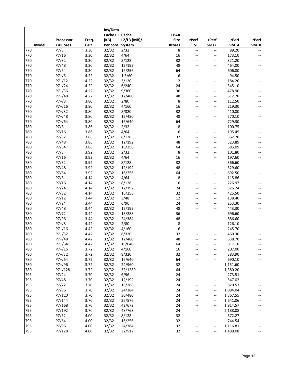|              |            |       | Ins/Data        |             |             |                          |                          |          |                          |
|--------------|------------|-------|-----------------|-------------|-------------|--------------------------|--------------------------|----------|--------------------------|
|              |            |       | Cache L1 Cache  |             | <b>LPAR</b> |                          |                          |          |                          |
|              | Processor  | Freq. | (KB)            | L2/L3 (MB)/ | <b>Size</b> | rPerf                    | rPerf                    | rPerf    | rPerf                    |
| <b>Model</b> | / # Cores  | GHz   | Per core System |             | #cores      | <b>ST</b>                | SMT <sub>2</sub>         | SMT4     | SMT8                     |
| 770          | P7/8       | 3.30  | 32/32           | 2/32        | 8           | $\overline{\phantom{a}}$ | $\overline{\phantom{a}}$ | 89.20    |                          |
| 770          | P7/16      | 3.30  | 32/32           | 4/64        | 16          | $-$                      | $\overline{a}$           | 173.10   |                          |
| 770          | P7/32      | 3.30  | 32/32           | 8/128       | 32          | $\overline{a}$           | $\overline{\phantom{a}}$ | 321.20   |                          |
| 770          | P7/48      | 3.30  | 32/32           | 12/192      | 48          | --                       | $\overline{\phantom{a}}$ | 464.00   |                          |
| 770          | P7/64      | 3.30  | 32/32           | 16/256      | 64          | --                       | $\overline{\phantom{a}}$ | 606.80   |                          |
| 770          | $P7+/6$    | 4.22  | 32/32           | 1.5/60      | 6           | --                       | $\overline{\phantom{a}}$ | 94.50    |                          |
| 770          | $P7+/12$   | 4.22  | 32/32           | 3/120       | 12          | --                       | --                       | 184.20   |                          |
| 770          | $P7+/24$   | 4.22  | 32/32           | 6/240       | 24          | $\overline{a}$           | --                       | 345.10   |                          |
| 770          | $P7+/36$   | 4.22  | 32/32           | 9/360       | 36          | $\overline{a}$           | $\overline{\phantom{a}}$ | 478.90   |                          |
| 770          | $P7+/48$   | 4.22  | 32/32           | 12/480      | 48          | --                       | $\overline{\phantom{a}}$ | 612.70   |                          |
| 770          | $P7+/8$    | 3.80  | 32/32           | 2/80        | 8           | --                       | $\overline{\phantom{a}}$ | 112.50   |                          |
| 770          | $P7+/16$   | 3.80  | 32/32           | 4/160       | 16          | --                       | $\overline{\phantom{a}}$ | 219.30   |                          |
| 770          | $P7+ / 32$ | 3.80  | 32/32           | 8/320       | 32          | --                       | $\overline{\phantom{a}}$ | 410.80   |                          |
| 770          | $P7+/48$   | 3.80  | 32/32           | 12/480      | 48          | $-$                      | --                       | 570.10   |                          |
| 770          | $P7+/64$   | 3.80  | 32/32           | 16/640      | 64          | $\overline{a}$           | $\overline{\phantom{a}}$ | 729.30   |                          |
| 780          | P7/8       | 3.86  | 32/32           | 2/32        | 8           | --                       | $\overline{\phantom{a}}$ | 100.75   |                          |
| 780          | P7/16      | 3.86  | 32/32           | 4/64        | 16          | --                       | $\overline{\phantom{a}}$ | 195.45   |                          |
| 780          | P7/32      | 3.86  | 32/32           | 8/128       | 32          | --                       | $-\!$                    | 362.70   |                          |
| 780          | P7/48      | 3.86  | 32/32           | 12/192      | 48          | --                       | --                       | 523.89   |                          |
| 780          | P7/64      | 3.86  | 32/32           | 16/256      | 64          | $-$                      | --                       | 685.09   |                          |
| 780          | P7/8       | 3.92  | 32/32           | 2/32        | 8           | --                       | $\overline{\phantom{a}}$ | 101.80   |                          |
| 780          | P7/16      | 3.92  | 32/32           | 4/64        | 16          | $\overline{a}$           | $-$                      | 197.60   |                          |
| 780          | P7/32      | 3.92  | 32/32           | 8/128       | 32          | --                       | $\overline{\phantom{a}}$ | 366.60   |                          |
| 780          | P7/48      | 3.92  | 32/32           | 12/192      | 48          | --                       | $\overline{\phantom{a}}$ | 529.60   |                          |
| 780          | P7/64      | 3.92  | 32/32           | 16/256      | 64          | --                       | $\overline{\phantom{a}}$ | 692.50   |                          |
| 780          | P7/8       | 4.14  | 32/32           | 4/64        | 8           | $-$                      | --                       | 115.86   |                          |
| 780          | P7/16      | 4.14  | 32/32           | 8/128       | 16          | --                       | $\overline{\phantom{a}}$ | 226.97   |                          |
| 780          | P7/24      | 4.14  | 32/32           | 12/192      | 24          | $-$                      | $\overline{\phantom{a}}$ | 326.24   |                          |
| 780          | P7/32      | 4.14  | 32/32           | 16/256      | 32          | --                       | $\overline{\phantom{a}}$ | 425.50   |                          |
| 780          | P7/12      | 3.44  | 32/32           | 3/48        | 12          | --                       | $-\!$                    | 138.40   |                          |
| 780          | P7/24      | 3.44  | 32/32           | 6/96        | 24          | $\overline{a}$           | $-$                      | 253.30   |                          |
| 780          | P7/48      | 3.44  | 32/32           | 12/192      | 48          | $\overline{a}$           | --                       | 443.30   |                          |
| 780          | P7/72      | 3.44  | 32/32           | 18/288      | 36          | --                       | $\overline{\phantom{a}}$ | 696.60   |                          |
| 780          | P7/96      | 3.44  | 32/32           | 24/384      | 48          | $\overline{a}$           | $-$                      | 886.60   |                          |
| 780          | $P7+/8$    | 4.42  | 32/32           | 2/80        | 8           | $\overline{a}$           | $-\!$                    | 126.10   |                          |
| 780          | $P7+/16$   | 4.42  | 32/32           | 4/160       | 16          |                          | $-\!$                    | 245.70   |                          |
| 780          | P7+/32     | 4.42  | 32/32           | 8/320       | 32          |                          | $-$                      | 460.30   |                          |
| 780          | $P7+/48$   | 4.42  | 32/32           | 12/480      | 48          |                          | --                       | 638.70   |                          |
| 780          | P7+/64     | 4.42  | 32/32           | 16/640      | 64          |                          | --                       | 817.10   |                          |
| 780          | $P7+/16$   | 3.72  | 32/32           | 4/160       | 16          | --                       | --                       | 207.00   |                          |
| 780          | P7+/32     | 3.72  | 32/32           | 8/320       | 32          | --                       | --                       | 383.90   |                          |
| 780          | $P7+/64$   | 3.72  | 32/32           | 16/640      | 64          |                          | --                       | 690.10   |                          |
| 780          | P7+/96     | 3.72  | 32/32           | 24/960      | 32          | --                       | --                       | 1,151.60 | --                       |
| 780          | P7+/128    | 3.72  | 32/32           | 32/1280     | 64          | --                       | --                       | 1,380.20 |                          |
| 795          | P7/24      | 3.70  | 32/32           | 6/96        | 24          | --                       | --                       | 273.51   |                          |
| 795          | P7/48      | 3.70  | 32/32           | 12/192      | 24          | --                       | --                       | 547.02   |                          |
| 795          | P7/72      | 3.70  | 32/32           | 18/288      | 24          | --                       | --                       | 820.53   |                          |
| 795          | P7/96      | 3.70  | 32/32           | 24/384      | 24          | --                       | --                       | 1,094.04 |                          |
| 795          | P7/120     | 3.70  | 32/32           | 30/480      | 24          | --                       | $\overline{\phantom{a}}$ | 1,367.55 |                          |
| 795          | P7/144     | 3.70  | 32/32           | 36/576      | 24          | --                       | $\overline{\phantom{a}}$ | 1,641.06 |                          |
| 795          | P7/168     | 3.70  | 32/32           | 42/672      | 24          | --                       | --                       | 1,914.57 |                          |
| 795          | P7/192     | 3.70  | 32/32           | 48/768      | 24          | --                       | --                       | 2,188.08 |                          |
| 795          | P7/32      | 4.00  | 32/32           | 8/128       | 32          | --                       | --                       | 372.27   |                          |
| 795          | P7/64      | 4.00  | 32/32           | 16/256      | 32          | --                       | --                       | 744.54   | $\overline{\phantom{a}}$ |
| 795          | P7/96      | 4.00  | 32/32           | 24/384      | 32          | --                       | --                       | 1,116.81 |                          |
| 795          | P7/128     | 4.00  | 32/32           | 32/512      | 32          | --                       | --                       | 1,489.08 | ÷                        |
|              |            |       |                 |             |             |                          |                          |          |                          |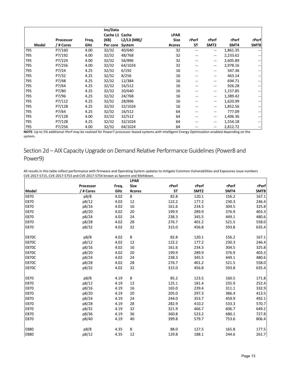|       |           |       | Ins/Data       |             |             |                   |                                       |          |                          |
|-------|-----------|-------|----------------|-------------|-------------|-------------------|---------------------------------------|----------|--------------------------|
|       |           |       | Cache L1 Cache |             | <b>LPAR</b> |                   |                                       |          |                          |
|       | Processor | Freq. | (KB)           | L2/L3 (MB)/ | <b>Size</b> | rPerf             | rPerf                                 | rPerf    | rPerf                    |
| Model | / # Cores | GHz   | Per core       | System      | #cores      | <b>ST</b>         | SMT <sub>2</sub>                      | SMT4     | SMT8                     |
| 795   | P7/160    | 4.00  | 32/32          | 40/640      | 32          | $- -$             | $\overline{\phantom{a}}$              | 1,861.35 |                          |
| 795   | P7/192    | 4.00  | 32/32          | 48/768      | 32          | --                | $\hspace{0.05cm}$ – $\hspace{0.05cm}$ | 2,233.62 | $- -$                    |
| 795   | P7/224    | 4.00  | 32/32          | 56/896      | 32          | --                | $\hspace{0.05cm}$ – $\hspace{0.05cm}$ | 2,605.89 |                          |
| 795   | P7/256    | 4.00  | 32/32          | 64/1024     | 32          | --                | $\hspace{0.05cm}$ – $\hspace{0.05cm}$ | 2,978.16 |                          |
| 795   | P7/24     | 4.25  | 32/32          | 6/192       | 16          | --                | --                                    | 347.36   | $- -$                    |
| 795   | P7/32     | 4.25  | 32/32          | 8/256       | 16          | --                | --                                    | 463.14   | $\overline{\phantom{m}}$ |
| 795   | P7/48     | 4.25  | 32/32          | 12/384      | 16          | --                | --                                    | 694.71   |                          |
| 795   | P7/64     | 4.25  | 32/32          | 16/512      | 16          |                   | --                                    | 926.28   | $\overline{\phantom{m}}$ |
| 795   | P7/80     | 4.25  | 32/32          | 20/640      | 16          |                   | --                                    | 1,157.85 |                          |
| 795   | P7/96     | 4.25  | 32/32          | 24/768      | 16          | --                | $\hspace{0.05cm}$ – $\hspace{0.05cm}$ | 1,389.42 |                          |
| 795   | P7/112    | 4.25  | 32/32          | 28/896      | 16          | $\qquad \qquad -$ | $\overline{\phantom{a}}$              | 1,620.99 | $\overline{\phantom{m}}$ |
| 795   | P7/128    | 4.25  | 32/32          | 32/1024     | 16          | --                | $\hspace{0.05cm}$ – $\hspace{0.05cm}$ | 1,852.56 | $- -$                    |
| 795   | P7/64     | 4.25  | 32/32          | 16/512      | 64          | --                | --                                    | 777.09   |                          |
| 795   | P7/128    | 4.00  | 32/32          | 32/512      | 64          | --                | --                                    | 1,406.36 |                          |
| 795   | P7/128    | 4.25  | 32/32          | 32/1024     | 64          |                   | --                                    | 1,554.18 | $\overline{\phantom{m}}$ |
| 795   | P7/256    | 4.00  | 32/32          | 64/1024     | 64          |                   | --                                    | 2,812.72 |                          |

**NOTE**: Up to 5% additional rPerf may be realized for Power7 processor–based systems with Intelligent Energy Optimization enabled depending on the system**.** 

Section 2d – AIX Capacity Upgrade on Demand Relative Performance Guidelines(Power8 and Power9)

All results in this table reflect performance with firmware and Operating System updates to mitigate Common Vulnerabilities and Exposures issue numbers CVE-2017-5715, CVE-2017-5753 and CVE-2017-5754 known as Spectre and Meltdown.

|              |           |       | <b>LPAR</b> |           |                  |       |       |
|--------------|-----------|-------|-------------|-----------|------------------|-------|-------|
|              | Processor | Freq. | <b>Size</b> | rPerf     | rPerf            | rPerf | rPerf |
| <b>Model</b> | / # Cores | GHz   | #cores      | <b>ST</b> | SMT <sub>2</sub> | SMT4  | SMT8  |
| E870         | p8/8      | 4.02  | 8           | 82.8      | 120.1            | 156.2 | 167.1 |
| E870         | p8/12     | 4.02  | 12          | 122.2     | 177.2            | 230.3 | 246.4 |
| E870         | p8/16     | 4.02  | 16          | 161.6     | 234.3            | 304.5 | 325.8 |
| E870         | p8/20     | 4.02  | 20          | 199.9     | 289.9            | 376.9 | 403.3 |
| E870         | p8/24     | 4.02  | 24          | 238.3     | 345.5            | 449.1 | 480.6 |
| E870         | p8/28     | 4.02  | 28          | 276.7     | 401.2            | 521.5 | 558.0 |
| E870         | p8/32     | 4.02  | 32          | 315.0     | 456.8            | 593.8 | 635.4 |
| <b>E870C</b> | p8/8      | 4.02  | 8           | 82.8      | 120.1            | 156.2 | 167.1 |
| <b>E870C</b> | p8/12     | 4.02  | 12          | 122.2     | 177.2            | 230.3 | 246.4 |
| <b>E870C</b> | p8/16     | 4.02  | 16          | 161.6     | 234.3            | 304.5 | 325.8 |
| <b>E870C</b> | p8/20     | 4.02  | 20          | 199.9     | 289.9            | 376.9 | 403.3 |
| E870C        | p8/24     | 4.02  | 24          | 238.3     | 345.5            | 449.1 | 480.6 |
| <b>E870C</b> | p8/28     | 4.02  | 28          | 276.7     | 401.2            | 521.5 | 558.0 |
| <b>E870C</b> | p8/32     | 4.02  | 32          | 315.0     | 456.8            | 593.8 | 635.4 |
| E870         | p8/8      | 4.19  | 8           | 85.2      | 123.5            | 160.5 | 171.8 |
| E870         | p8/12     | 4.19  | 12          | 125.1     | 181.4            | 235.9 | 252.4 |
| E870         | p8/16     | 4.19  | 16          | 165.0     | 239.4            | 311.1 | 332.9 |
| E870         | p8/20     | 4.19  | 20          | 205.0     | 297.3            | 386.4 | 413.5 |
| E870         | p8/24     | 4.19  | 24          | 244.0     | 353.7            | 459.9 | 492.1 |
| E870         | p8/28     | 4.19  | 28          | 282.9     | 410.2            | 533.3 | 570.7 |
| E870         | p8/32     | 4.19  | 32          | 321.9     | 466.7            | 606.7 | 649.2 |
| E870         | p8/36     | 4.19  | 36          | 360.8     | 523.2            | 680.1 | 727.8 |
| E870         | p8/40     | 4.19  | 40          | 399.8     | 579.7            | 753.6 | 806.4 |
| E880         | p8/8      | 4.35  | 8           | 88.0      | 127.5            | 165.8 | 177.5 |
| E880         | p8/12     | 4.35  | 12          | 129.8     | 188.1            | 244.6 | 261.7 |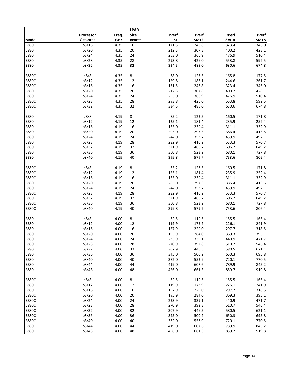|              |           |       | <b>LPAR</b> |           |                  |       |       |
|--------------|-----------|-------|-------------|-----------|------------------|-------|-------|
|              | Processor | Freq. | <b>Size</b> | rPerf     | rPerf            | rPerf | rPerf |
| <b>Model</b> | / # Cores | GHz   | #cores      | <b>ST</b> | SMT <sub>2</sub> | SMT4  | SMT8  |
| E880         | p8/16     | 4.35  | 16          | 171.5     | 248.8            | 323.4 | 346.0 |
| E880         | p8/20     | 4.35  | 20          | 212.3     | 307.8            | 400.2 | 428.1 |
|              |           |       |             | 253.0     |                  |       |       |
| E880         | p8/24     | 4.35  | 24          |           | 366.9            | 476.9 | 510.4 |
| E880         | p8/28     | 4.35  | 28          | 293.8     | 426.0            | 553.8 | 592.5 |
| E880         | p8/32     | 4.35  | 32          | 334.5     | 485.0            | 630.6 | 674.8 |
| <b>E880C</b> | p8/8      | 4.35  | 8           | 88.0      | 127.5            | 165.8 | 177.5 |
| <b>E880C</b> | p8/12     | 4.35  | 12          | 129.8     | 188.1            | 244.6 | 261.7 |
| <b>E880C</b> | p8/16     | 4.35  | 16          | 171.5     | 248.8            | 323.4 | 346.0 |
| <b>E880C</b> | p8/20     | 4.35  | 20          | 212.3     | 307.8            | 400.2 | 428.1 |
| <b>E880C</b> | p8/24     | 4.35  | 24          | 253.0     | 366.9            | 476.9 | 510.4 |
| <b>E880C</b> | p8/28     | 4.35  | 28          | 293.8     | 426.0            | 553.8 | 592.5 |
| <b>E880C</b> | p8/32     | 4.35  | 32          | 334.5     | 485.0            | 630.6 | 674.8 |
|              |           |       |             |           |                  |       |       |
| E880         | p8/8      | 4.19  | 8           | 85.2      | 123.5            | 160.5 | 171.8 |
| E880         | p8/12     | 4.19  | 12          | 125.1     | 181.4            | 235.9 | 252.4 |
| E880         | p8/16     | 4.19  | 16          | 165.0     | 239.4            | 311.1 | 332.9 |
| E880         | p8/20     | 4.19  | 20          | 205.0     | 297.3            | 386.4 | 413.5 |
| E880         | p8/24     | 4.19  | 24          | 244.0     | 353.7            | 459.9 | 492.1 |
| E880         | p8/28     | 4.19  | 28          | 282.9     | 410.2            | 533.3 | 570.7 |
| E880         | p8/32     | 4.19  | 32          | 321.9     | 466.7            | 606.7 | 649.2 |
| E880         | p8/36     | 4.19  | 36          | 360.8     | 523.2            | 680.1 | 727.8 |
|              |           |       |             |           |                  |       |       |
| E880         | p8/40     | 4.19  | 40          | 399.8     | 579.7            | 753.6 | 806.4 |
| <b>E880C</b> | p8/8      | 4.19  | 8           | 85.2      | 123.5            | 160.5 | 171.8 |
| <b>E880C</b> | p8/12     | 4.19  | 12          | 125.1     | 181.4            | 235.9 | 252.4 |
| E880C        | p8/16     | 4.19  | 16          | 165.0     | 239.4            | 311.1 | 332.9 |
| <b>E880C</b> | p8/20     | 4.19  | 20          | 205.0     | 297.3            | 386.4 | 413.5 |
| E880C        | p8/24     | 4.19  | 24          | 244.0     | 353.7            | 459.9 | 492.1 |
| <b>E880C</b> | p8/28     | 4.19  | 28          | 282.9     | 410.2            | 533.3 | 570.7 |
|              |           |       |             |           |                  |       |       |
| <b>E880C</b> | p8/32     | 4.19  | 32          | 321.9     | 466.7            | 606.7 | 649.2 |
| <b>E880C</b> | p8/36     | 4.19  | 36          | 360.8     | 523.2            | 680.1 | 727.8 |
| <b>E880C</b> | p8/40     | 4.19  | 40          | 399.8     | 579.7            | 753.6 | 806.4 |
| E880         | p8/8      | 4.00  | 8           | 82.5      | 119.6            | 155.5 | 166.4 |
| E880         | p8/12     | 4.00  | 12          | 119.9     | 173.9            | 226.1 | 241.9 |
| E880         | p8/16     | 4.00  | 16          | 157.9     | 229.0            | 297.7 | 318.5 |
| E880         | p8/20     | 4.00  | 20          | 195.9     | 284.0            | 369.3 | 395.1 |
| E880         | p8/24     | 4.00  | 24          | 233.9     | 339.1            | 440.9 | 471.7 |
| E880         | p8/28     | 4.00  | 28          | 270.9     | 392.8            | 510.7 | 546.4 |
| E880         | p8/32     | 4.00  | 32          | 307.9     | 446.5            | 580.5 | 621.1 |
| E880         | p8/36     | 4.00  | 36          | 345.0     | 500.2            | 650.3 | 695.8 |
|              |           |       | 40          | 382.0     |                  |       |       |
| E880         | p8/40     | 4.00  |             |           | 553.9            | 720.1 | 770.5 |
| E880         | p8/44     | 4.00  | 44          | 419.0     | 607.6            | 789.9 | 845.2 |
| E880         | p8/48     | 4.00  | 48          | 456.0     | 661.3            | 859.7 | 919.8 |
| <b>E880C</b> | p8/8      | 4.00  | 8           | 82.5      | 119.6            | 155.5 | 166.4 |
| <b>E880C</b> | p8/12     | 4.00  | 12          | 119.9     | 173.9            | 226.1 | 241.9 |
| <b>E880C</b> | p8/16     | 4.00  | 16          | 157.9     | 229.0            | 297.7 | 318.5 |
| <b>E880C</b> | p8/20     | 4.00  | 20          | 195.9     | 284.0            | 369.3 | 395.1 |
| <b>E880C</b> | p8/24     | 4.00  | 24          | 233.9     | 339.1            | 440.9 | 471.7 |
| <b>E880C</b> | p8/28     | 4.00  | 28          | 270.9     | 392.8            | 510.7 | 546.4 |
| <b>E880C</b> | p8/32     | 4.00  | 32          | 307.9     | 446.5            | 580.5 | 621.1 |
| <b>E880C</b> | p8/36     | 4.00  | 36          | 345.0     | 500.2            | 650.3 | 695.8 |
| <b>E880C</b> |           |       |             |           |                  |       |       |
|              | p8/40     | 4.00  | 40          | 382.0     | 553.9            | 720.1 | 770.5 |
| <b>E880C</b> | p8/44     | 4.00  | 44          | 419.0     | 607.6            | 789.9 | 845.2 |
| <b>E880C</b> | p8/48     | 4.00  | 48          | 456.0     | 661.3            | 859.7 | 919.8 |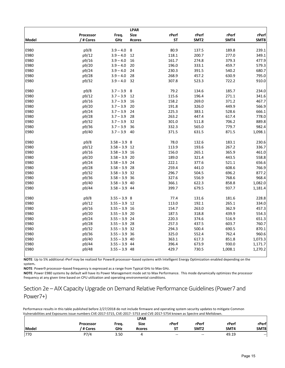|              |           |                 | <b>LPAR</b> |           |                  |         |         |
|--------------|-----------|-----------------|-------------|-----------|------------------|---------|---------|
|              | Processor | Freq.           | <b>Size</b> | rPerf     | rPerf            | rPerf   | rPerf   |
| <b>Model</b> | /# Cores  | GHz             | #cores      | <b>ST</b> | SMT <sub>2</sub> | SMT4    | SMT8    |
| E980         |           |                 |             | 80.9      |                  | 189.8   |         |
|              | p9/8      | $3.9 - 4.0$     | 8           |           | 137.5            |         | 239.1   |
| E980         | p9/12     | $3.9 - 4.0$     | 12          | 118.1     | 200.7            | 277.0   | 349.1   |
| E980         | p9/16     | $3.9 - 4.0$     | 16          | 161.7     | 274.8            | 379.3   | 477.9   |
| E980         | p9/20     | $3.9 - 4.0$     | 20          | 196.0     | 333.1            | 459.7   | 579.3   |
| E980         | p9/24     | $3.9 - 4.0$     | 24          | 230.3     | 391.5            | 540.2   | 680.7   |
| E980         | p9/28     | $3.9 - 4.0$     | 28          | 268.9     | 457.2            | 630.9   | 795.0   |
| E980         | p9/32     | $3.9 - 4.0$     | 32          | 307.8     | 523.3            | 722.2   | 910.0   |
| E980         | p9/8      | $3.7 - 3.9$     | 8           | 79.2      | 134.6            | 185.7   | 234.0   |
| E980         | p9/12     | $3.7 - 3.9$     | 12          | 115.6     | 196.4            | 271.1   | 341.6   |
| E980         | p9/16     | $3.7 - 3.9$     | 16          | 158.2     | 269.0            | 371.2   | 467.7   |
| E980         | p9/20     | $3.7 - 3.9$     | 20          | 191.8     | 326.0            | 449.9   | 566.9   |
| E980         | p9/24     | $3.7 - 3.9$     | 24          | 225.3     | 383.1            | 528.6   | 666.1   |
| E980         | p9/28     | $3.7 - 3.9$     | 28          | 263.2     | 447.4            | 617.4   | 778.0   |
| E980         | p9/32     | $3.7 - 3.9$     | 32          | 301.0     | 511.8            | 706.2   | 889.8   |
| E980         | p9/36     | $3.7 - 3.9$     | 36          | 332.3     | 565.0            | 779.7   | 982.4   |
| E980         | p9/40     | $3.7 - 3.9$     | 40          | 371.5     | 631.5            | 871.5   | 1,098.1 |
| E980         | p9/8      | $3.58 - 3.9$ 8  |             | 78.0      | 132.6            | 183.1   | 230.6   |
| E980         | p9/12     | $3.58 - 3.9$ 12 |             | 113.9     | 193.6            | 267.2   | 336.7   |
| E980         | p9/16     | $3.58 - 3.9$    | 16          | 156.0     | 265.1            | 365.9   | 461.0   |
| E980         | p9/20     | $3.58 - 3.9$ 20 |             | 189.0     | 321.4            | 443.5   | 558.8   |
| E980         | p9/24     | $3.58 - 3.9$ 24 |             | 222.1     | 377.6            | 521.1   | 656.6   |
| E980         | p9/28     | $3.58 - 3.9$ 28 |             | 259.4     | 441.0            | 608.6   | 766.9   |
| E980         | p9/32     | $3.58 - 3.9$ 32 |             | 296.7     | 504.5            | 696.2   | 877.2   |
| E980         | p9/36     | $3.58 - 3.9$ 36 |             | 327.6     | 556.9            | 768.6   | 968.4   |
| E980         | p9/40     | $3.58 - 3.9$    | 40          | 366.1     | 622.3            | 858.8   | 1,082.0 |
| E980         | p9/44     | $3.58 - 3.9$ 44 |             | 399.7     | 679.5            | 937.7   | 1,181.4 |
| E980         | p9/8      | $3.55 - 3.9$ 8  |             | 77.4      | 131.6            | 181.6   | 228.8   |
| E980         | p9/12     |                 |             | 113.0     | 192.1            | 265.1   | 334.0   |
| E980         |           | $3.55 - 3.9$ 12 | 16          |           |                  | 362.9   |         |
|              | p9/16     | $3.55 - 3.9$    |             | 154.7     | 263.0            |         | 457.3   |
| E980         | p9/20     | $3.55 - 3.9$ 20 |             | 187.5     | 318.8            | 439.9   | 554.3   |
| E980         | p9/24     | $3.55 - 3.9$ 24 |             | 220.3     | 374.6            | 516.9   | 651.3   |
| E980         | p9/28     | $3.55 - 3.9$ 28 |             | 257.3     | 437.5            | 603.7   | 760.7   |
| E980         | p9/32     | $3.55 - 3.9$    | 32          | 294.3     | 500.4            | 690.5   | 870.1   |
| E980         | p9/36     | $3.55 - 3.9$    | 36          | 325.0     | 552.4            | 762.4   | 960.6   |
| E980         | p9/40     | $3.55 - 3.9$ 40 |             | 363.1     | 617.3            | 851.8   | 1,073.3 |
| E980         | p9/44     | $3.55 - 3.9$    | 44          | 396.4     | 673.9            | 930.0   | 1,171.7 |
| E980         | p9/48     | $3.55 - 3.9$ 48 |             | 429.7     | 730.5            | 1,008.1 | 1,270.2 |

**NOTE**: Up to 5% additional rPerf may be realized for Power8 processor–based systems with Intelligent Energy Optimization enabled depending on the system**.** 

**NOTE**: Power9 processor–based frequency is expressed as a range from Typical GHz to Max GHz.

**NOTE**: Power E980 systems by default will have its Power Management mode set to Max Performance. This mode dynamically optimizes the processor frequency at any given time based on CPU utilization and operating environmental conditions.

Section 2e – AIX Capacity Upgrade on Demand Relative Performance Guidelines(Power7 and Power7+)

|       |           |       | <b>LPAR</b> |                  |                  |       |               |
|-------|-----------|-------|-------------|------------------|------------------|-------|---------------|
|       | Processor | Freg. | <b>Size</b> | rPerf            | rPerf            | rPerf | rPerf         |
| Model | ' # Cores | GHz   | #cores      | $_{\rm cr}$<br>ы | SMT <sub>2</sub> | SMT4  | SMT8          |
| 770   | P7/4      | 3.50  |             | $- -$            | $\sim$           | 49.19 | $\sim$ $\sim$ |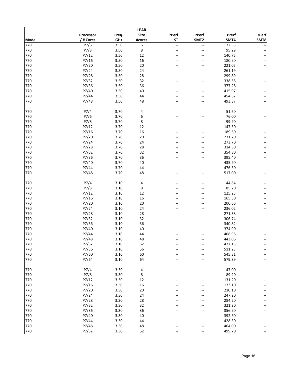|              | <b>LPAR</b>       |       |             |                |                  |        |                          |  |  |  |  |
|--------------|-------------------|-------|-------------|----------------|------------------|--------|--------------------------|--|--|--|--|
|              | Processor         | Freq. | <b>Size</b> | rPerf          | rPerf            | rPerf  | rPerf                    |  |  |  |  |
| <b>Model</b> | / # Cores         | GHz   | #cores      | <b>ST</b>      | SMT <sub>2</sub> | SMT4   | SMT8                     |  |  |  |  |
| 770          | $\overline{P7/6}$ | 3.50  | 6           | LL.            | ц.               | 72.55  |                          |  |  |  |  |
| 770          | P7/8              | 3.50  | 8           | $\overline{a}$ | $-$              | 95.29  |                          |  |  |  |  |
| 770          | P7/12             | 3.50  | 12          |                |                  | 140.75 | --                       |  |  |  |  |
| 770          | P7/16             | 3.50  | 16          |                |                  | 180.90 |                          |  |  |  |  |
| 770          | P7/20             | 3.50  | 20          |                |                  | 221.05 |                          |  |  |  |  |
| 770          | P7/24             | 3.50  | 24          |                |                  | 261.19 | ÷                        |  |  |  |  |
| 770          |                   |       |             |                |                  |        | −−                       |  |  |  |  |
|              | P7/28             | 3.50  | 28          |                |                  | 299.89 | --                       |  |  |  |  |
| 770          | P7/32             | 3.50  | 32          | --             | $-$              | 338.58 | --                       |  |  |  |  |
| 770          | P7/36             | 3.50  | 36          |                |                  | 377.28 | --                       |  |  |  |  |
| 770          | P7/40             | 3.50  | 40          |                |                  | 415.97 |                          |  |  |  |  |
| 770          | P7/44             | 3.50  | 44          |                |                  | 454.67 | ÷                        |  |  |  |  |
| 770          | P7/48             | 3.50  | 48          |                | --               | 493.37 |                          |  |  |  |  |
| 770          | P7/4              | 3.70  | 4           |                | $-$              | 51.60  |                          |  |  |  |  |
| 770          | P7/6              | 3.70  | 6           |                |                  | 76.00  |                          |  |  |  |  |
| 770          | P7/8              | 3.70  | 8           |                |                  | 99.90  |                          |  |  |  |  |
| 770          | P7/12             | 3.70  | 12          |                |                  | 147.50 | $\overline{\phantom{a}}$ |  |  |  |  |
| 770          | P7/16             | 3.70  | 16          |                | --               | 189.60 | --                       |  |  |  |  |
| 770          | P7/20             | 3.70  | 20          |                |                  | 231.70 | −−                       |  |  |  |  |
| 770          | P7/24             | 3.70  | 24          |                | --               | 273.70 | $\overline{\phantom{a}}$ |  |  |  |  |
| 770          | P7/28             | 3.70  | 28          |                |                  | 314.30 | --                       |  |  |  |  |
| 770          | P7/32             | 3.70  | 32          |                |                  | 354.80 | ÷                        |  |  |  |  |
| 770          | P7/36             | 3.70  | 36          |                |                  | 395.40 |                          |  |  |  |  |
| 770          | P7/40             | 3.70  | 40          |                |                  |        | -−                       |  |  |  |  |
|              |                   |       |             |                |                  | 435.90 | ÷                        |  |  |  |  |
| 770          | P7/44             | 3.70  | 44          |                |                  | 476.50 | ÷                        |  |  |  |  |
| 770          | P7/48             | 3.70  | 48          |                |                  | 517.00 |                          |  |  |  |  |
| 770          | P7/4              | 3.10  | 4           |                |                  | 44.84  |                          |  |  |  |  |
| 770          | P7/8              | 3.10  | 8           |                |                  | 85.20  | --                       |  |  |  |  |
| 770          | P7/12             | 3.10  | 12          |                | --               | 125.25 | --                       |  |  |  |  |
| 770          | P7/16             | 3.10  | 16          |                |                  | 165.30 | ≕                        |  |  |  |  |
| 770          | P7/20             | 3.10  | 20          |                |                  | 200.66 | ∽                        |  |  |  |  |
| 770          | P7/24             | 3.10  | 24          |                |                  | 236.02 |                          |  |  |  |  |
| 770          | P7/28             | 3.10  | 28          |                |                  | 271.38 | --                       |  |  |  |  |
| 770          | P7/32             | 3.10  | 32          |                |                  | 306.74 |                          |  |  |  |  |
| 770          |                   |       | 36          |                |                  |        | ÷                        |  |  |  |  |
|              | P7/36             | 3.10  |             |                |                  | 340.82 | --                       |  |  |  |  |
| 770          | P7/40             | 3.10  | 40          |                |                  | 374.90 | ÷                        |  |  |  |  |
| 770          | P7/44             | 3.10  | 44          |                |                  | 408.98 | $--$                     |  |  |  |  |
| 770          | P7/48             | 3.10  | 48          |                |                  | 443.06 |                          |  |  |  |  |
| 770          | P7/52             | 3.10  | 52          |                |                  | 477.15 |                          |  |  |  |  |
| 770          | P7/56             | 3.10  | 56          |                |                  | 511.23 | ÷                        |  |  |  |  |
| 770          | P7/60             | 3.10  | 60          |                |                  | 545.31 | −−                       |  |  |  |  |
| 770          | P7/64             | 3.10  | 64          |                |                  | 579.39 |                          |  |  |  |  |
| 770          | P7/4              | 3.30  | 4           |                |                  | 47.00  |                          |  |  |  |  |
| 770          | P7/8              | 3.30  | 8           |                |                  | 89.20  |                          |  |  |  |  |
| 770          | P7/12             | 3.30  | 12          |                |                  | 131.20 |                          |  |  |  |  |
| 770          | P7/16             | 3.30  | 16          |                |                  | 173.10 | ÷                        |  |  |  |  |
| 770          | P7/20             | 3.30  | 20          |                |                  | 210.10 | ≕                        |  |  |  |  |
| 770          | P7/24             | 3.30  | 24          |                |                  | 247.20 | ÷                        |  |  |  |  |
|              |                   |       |             |                |                  |        | ÷                        |  |  |  |  |
| 770          | P7/28             | 3.30  | 28          |                |                  | 284.20 |                          |  |  |  |  |
| 770          | P7/32             | 3.30  | 32          |                |                  | 321.20 |                          |  |  |  |  |
| 770          | P7/36             | 3.30  | 36          |                |                  | 356.90 | −−                       |  |  |  |  |
| 770          | P7/40             | 3.30  | 40          |                |                  | 392.60 | ÷                        |  |  |  |  |
| 770          | P7/44             | 3.30  | 44          |                |                  | 428.30 | ÷                        |  |  |  |  |
| 770          | P7/48             | 3.30  | 48          |                |                  | 464.00 | -−                       |  |  |  |  |
| 770          | P7/52             | 3.30  | 52          |                |                  | 499.70 |                          |  |  |  |  |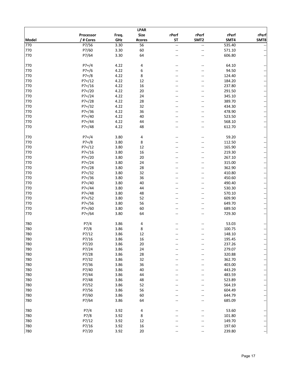|              |           |       | <b>LPAR</b>     |                |                  |                  |                          |
|--------------|-----------|-------|-----------------|----------------|------------------|------------------|--------------------------|
|              | Processor | Freq. | <b>Size</b>     | rPerf          | rPerf            | rPerf            | rPerf                    |
| <b>Model</b> | / # Cores | GHz   | #cores          | <b>ST</b>      | SMT <sub>2</sub> | SMT4             | SMT8                     |
| 770          | P7/56     | 3.30  | $\overline{56}$ | u.             | ц.               | 535.40           |                          |
| 770          | P7/60     | 3.30  | 60              | $\overline{a}$ | --               | 571.10           |                          |
| 770          | P7/64     | 3.30  | 64              |                |                  | 606.80           |                          |
|              |           |       |                 |                |                  |                  |                          |
| 770          |           |       |                 |                |                  |                  |                          |
|              | $P7+/4$   | 4.22  | 4               |                |                  | 64.10            |                          |
| 770          | $P7+/6$   | 4.22  | 6               |                |                  | 94.50            | $\overline{\phantom{a}}$ |
| 770          | $P7+/8$   | 4.22  | 8               |                | --               | 124.40           | $\overline{\phantom{a}}$ |
| 770          | $P7+/12$  | 4.22  | 12              |                |                  | 184.20           | $\overline{\phantom{a}}$ |
| 770          | $P7+/16$  | 4.22  | 16              |                |                  | 237.80           | ÷                        |
| 770          | $P7+/20$  | 4.22  | 20              |                | --               | 291.50           | $\ddot{\phantom{0}}$     |
| 770          | $P7+/24$  | 4.22  | 24              |                |                  | 345.10           | ÷                        |
| 770          | $P7+/28$  | 4.22  | 28              |                |                  | 389.70           | $\overline{\phantom{a}}$ |
| 770          | P7+/32    | 4.22  | 32              |                |                  | 434.30           | $\overline{\phantom{a}}$ |
| 770          | $P7+/36$  | 4.22  | 36              |                |                  | 478.90           | $\ddot{\phantom{0}}$     |
| 770          | P7+/40    | 4.22  | 40              |                |                  | 523.50           | ÷                        |
| 770          | $P7+/44$  | 4.22  | 44              |                | --               | 568.10           | $\overline{\phantom{a}}$ |
| 770          | $P7+/48$  | 4.22  | 48              |                |                  | 612.70           | $\overline{\phantom{a}}$ |
|              |           |       |                 |                |                  |                  |                          |
| 770          | $P7+/4$   | 3.80  | 4               |                |                  | 59.20            |                          |
| 770          | $P7+/8$   | 3.80  | 8               |                |                  | 112.50           | ÷                        |
| 770          | $P7+/12$  | 3.80  | 12              |                |                  | 165.90           | $\ddot{\phantom{1}}$     |
| 770          | $P7+/16$  | 3.80  | 16              |                |                  | 219.30           | ÷                        |
| 770          | $P7+/20$  | 3.80  | 20              |                | --               | 267.10           | $\overline{\phantom{a}}$ |
| 770          | $P7+/24$  | 3.80  | 24              |                |                  | 315.00           | $\ddot{\phantom{0}}$     |
| 770          | $P7+/28$  | 3.80  | 28              |                |                  | 362.90           | $\ddot{\phantom{0}}$     |
| 770          | $P7+/32$  | 3.80  | 32              |                |                  | 410.80           |                          |
| 770          | P7+/36    | 3.80  | 36              |                |                  | 450.60           | $\ddot{\phantom{0}}$     |
| 770          | $P7+/40$  | 3.80  | 40              |                |                  | 490.40           | ÷                        |
| 770          | $P7+/44$  | 3.80  | 44              |                | $-$              | 530.30           | $\ddot{\phantom{0}}$     |
| 770          | $P7+/48$  | 3.80  | 48              |                |                  |                  | $\overline{\phantom{a}}$ |
| 770          |           |       | 52              |                |                  | 570.10<br>609.90 | $\overline{\phantom{a}}$ |
|              | P7+/52    | 3.80  |                 |                | --               |                  | ÷                        |
| 770          | P7+/56    | 3.80  | 56              |                | --               | 649.70           | $\ddot{\phantom{0}}$     |
| 770          | $P7+/60$  | 3.80  | 60              |                |                  | 689.50           | --                       |
| 770          | $P7+/64$  | 3.80  | 64              |                |                  | 729.30           |                          |
|              |           |       |                 |                |                  |                  |                          |
| 780          | P7/4      | 3.86  | 4               |                |                  | 53.03            |                          |
| 780          | P7/8      | 3.86  | 8               |                |                  | 100.75           |                          |
| 780          | P7/12     | 3.86  | 12              |                |                  | 148.10           |                          |
| 780          | P7/16     | 3.86  | 16              |                |                  | 195.45           |                          |
| 780          | P7/20     | 3.86  | 20              |                |                  | 237.26           |                          |
| 780          | P7/24     | 3.86  | 24              |                |                  | 279.07           | ÷                        |
| 780          | P7/28     | 3.86  | 28              |                |                  | 320.88           | ÷                        |
| 780          | P7/32     | 3.86  | 32              |                |                  | 362.70           |                          |
| 780          | P7/36     | 3.86  | 36              |                |                  | 403.00           | ÷                        |
| 780          | P7/40     | 3.86  | 40              |                |                  | 443.29           | ÷                        |
| 780          | P7/44     | 3.86  | 44              |                |                  | 483.59           |                          |
| 780          | P7/48     | 3.86  | 48              |                |                  | 523.89           | ÷                        |
| 780          | P7/52     | 3.86  | 52              |                |                  | 564.19           | ÷                        |
| 780          | P7/56     | 3.86  | 56              |                |                  | 604.49           |                          |
| 780          | P7/60     | 3.86  | 60              |                |                  | 644.79           |                          |
| 780          | P7/64     | 3.86  | 64              |                |                  | 685.09           |                          |
|              |           |       |                 |                |                  |                  |                          |
| 780          | P7/4      | 3.92  | 4               |                |                  | 53.60            |                          |
| 780          | P7/8      | 3.92  | 8               |                |                  | 101.80           | ÷                        |
| 780          | P7/12     | 3.92  | 12              |                |                  | 149.70           |                          |
| 780          | P7/16     | 3.92  | 16              |                |                  | 197.60           |                          |
| 780          | P7/20     | 3.92  | 20              |                |                  | 239.80           | --                       |
|              |           |       |                 |                |                  |                  |                          |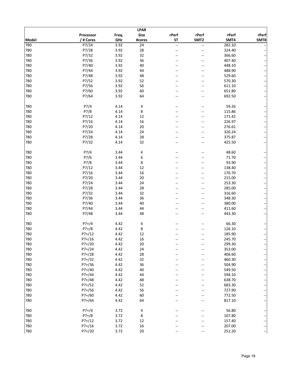|       |           |       | <b>LPAR</b>     |       |                  |        |                          |
|-------|-----------|-------|-----------------|-------|------------------|--------|--------------------------|
|       | Processor | Freq. | <b>Size</b>     | rPerf | rPerf            | rPerf  | rPerf                    |
| Model | / # Cores | GHz   | #cores          | ST    | SMT <sub>2</sub> | SMT4   | SMT8                     |
| 780   | P7/24     | 3.92  | $\overline{24}$ | --    | --               | 282.10 |                          |
| 780   | P7/28     | 3.92  | 28              | $-$   | --               | 324.40 |                          |
| 780   | P7/32     | 3.92  | 32              |       | $-$              | 366.60 |                          |
| 780   | P7/36     | 3.92  | 36              |       |                  | 407.40 |                          |
| 780   | P7/40     | 3.92  | 40              |       | --               | 448.10 | $\overline{\phantom{a}}$ |
| 780   | P7/44     | 3.92  | 44              |       | --               | 488.90 | $\ddot{\phantom{1}}$     |
| 780   | P7/48     | 3.92  | 48              |       |                  | 529.60 |                          |
| 780   | P7/52     | 3.92  |                 |       | --               |        | ÷                        |
|       |           |       | 52              | --    |                  | 570.30 | $\overline{\phantom{a}}$ |
| 780   | P7/56     | 3.92  | 56              |       | --               | 611.10 | ÷                        |
| 780   | P7/60     | 3.92  | 60              |       |                  | 651.80 |                          |
| 780   | P7/64     | 3.92  | 64              |       |                  | 692.50 |                          |
| 780   | P7/4      | 4.14  | 4               |       | --               | 59.26  |                          |
| 780   | P7/8      | 4.14  | 8               |       |                  | 115.86 |                          |
| 780   | P7/12     | 4.14  | 12              |       | --               | 171.42 |                          |
|       |           |       |                 |       |                  |        | $\overline{\phantom{a}}$ |
| 780   | P7/16     | 4.14  | 16              |       |                  | 226.97 | $\overline{\phantom{a}}$ |
| 780   | P7/20     | 4.14  | 20              |       | --               | 276.61 | $\overline{\phantom{a}}$ |
| 780   | P7/24     | 4.14  | 24              |       | --               | 326.24 | $\ddot{\phantom{1}}$     |
| 780   | P7/28     | 4.14  | 28              |       |                  | 375.87 | --                       |
| 780   | P7/32     | 4.14  | 32              |       |                  | 425.50 |                          |
| 780   | P7/4      | 3.44  | 4               |       |                  | 48.60  |                          |
| 780   | P7/6      | 3.44  | 6               |       |                  | 71.70  |                          |
| 780   | P7/8      | 3.44  | 8               |       |                  | 93.90  |                          |
| 780   |           | 3.44  |                 |       |                  |        | $\ddot{\phantom{1}}$     |
|       | P7/12     |       | 12              |       |                  | 138.40 | −−                       |
| 780   | P7/16     | 3.44  | 16              |       |                  | 176.70 | ÷                        |
| 780   | P7/20     | 3.44  | 20              |       |                  | 215.00 | $\overline{\phantom{a}}$ |
| 780   | P7/24     | 3.44  | 24              |       |                  | 253.30 | $\overline{\phantom{a}}$ |
| 780   | P7/28     | 3.44  | 28              |       |                  | 285.00 | $\overline{\phantom{a}}$ |
| 780   | P7/32     | 3.44  | 32              |       | --               | 316.60 | ÷                        |
| 780   | P7/36     | 3.44  | 36              |       | --               | 348.30 | $\overline{\phantom{a}}$ |
| 780   | P7/40     | 3.44  | 40              |       |                  | 380.00 | ÷                        |
| 780   | P7/44     | 3.44  | 44              |       | --               | 411.60 |                          |
| 780   | P7/48     | 3.44  | 48              |       |                  | 443.30 |                          |
| 780   | $P7+/4$   | 4.42  |                 |       |                  | 66.30  |                          |
| 780   |           |       | 4               |       |                  | 126.10 |                          |
|       | $P7+/8$   | 4.42  | 8               |       |                  |        |                          |
| 780   | $P7+/12$  | 4.42  | 12              |       |                  | 185.90 | ÷                        |
| 780   | $P7+/16$  | 4.42  | 16              |       |                  | 245.70 |                          |
| 780   | $P7+/20$  | 4.42  | 20              |       |                  | 299.30 | ÷                        |
| 780   | $P7+/24$  | 4.42  | 24              |       |                  | 353.00 | $\overline{\phantom{a}}$ |
| 780   | $P7+/28$  | 4.42  | 28              |       |                  | 406.60 | $\overline{\phantom{a}}$ |
| 780   | P7+/32    | 4.42  | 32              |       |                  | 460.30 | $\overline{\phantom{a}}$ |
| 780   | $P7+/36$  | 4.42  | 36              |       |                  | 504.90 | ÷                        |
| 780   | P7+/40    | 4.42  | 40              |       |                  | 549.50 | ÷                        |
| 780   | P7+/44    | 4.42  | 44              |       |                  | 594.10 | $\overline{\phantom{a}}$ |
| 780   | $P7+/48$  | 4.42  | 48              |       |                  | 638.70 | $\overline{\phantom{a}}$ |
| 780   | P7+/52    | 4.42  | 52              |       |                  | 683.30 | ÷                        |
| 780   | $P7+/56$  | 4.42  | 56              |       | --               | 727.90 | $\ddot{\phantom{0}}$     |
| 780   | P7+/60    | 4.42  | 60              |       |                  | 772.50 |                          |
| 780   | $P7+/64$  | 4.42  | 64              |       |                  | 817.10 |                          |
|       |           |       |                 |       |                  |        |                          |
| 780   | $P7+/4$   | 3.72  | 4               |       |                  | 56.80  |                          |
| 780   | $P7+/8$   | 3.72  | 8               |       |                  | 107.80 |                          |
| 780   | $P7+/12$  | 3.72  | 12              |       |                  | 157.40 | $\pm$                    |
| 780   | $P7+/16$  | 3.72  | 16              |       |                  | 207.00 |                          |
| 780   | $P7+/20$  | 3.72  | 20              |       |                  | 251.20 | ÷                        |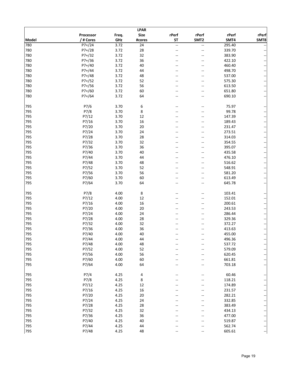| <b>LPAR</b> |           |       |                 |       |                  |        |                          |  |  |
|-------------|-----------|-------|-----------------|-------|------------------|--------|--------------------------|--|--|
|             | Processor | Freq. | <b>Size</b>     | rPerf | rPerf            | rPerf  | rPerf                    |  |  |
| Model       | / # Cores | GHz   | #cores          | ST    | SMT <sub>2</sub> | SMT4   | SMT8                     |  |  |
| 780         | $P7+/24$  | 3.72  | $\overline{24}$ | Щ.    | Щ,               | 295.40 |                          |  |  |
| 780         | $P7+/28$  | 3.72  | 28              | --    | --               | 339.70 |                          |  |  |
| 780         | $P7+/32$  | 3.72  | 32              |       | --               | 383.90 |                          |  |  |
| 780         | P7+/36    | 3.72  | 36              |       |                  | 422.10 | $\overline{\phantom{a}}$ |  |  |
| 780         | $P7+/40$  | 3.72  | 40              |       | --               | 460.40 | $\overline{\phantom{a}}$ |  |  |
| 780         | P7+/44    | 3.72  | 44              |       | --               | 498.70 | $\ddot{\phantom{1}}$     |  |  |
| 780         | $P7+/48$  | 3.72  | 48              |       |                  | 537.00 | ÷                        |  |  |
| 780         | $P7+/52$  | 3.72  | 52              | --    | --               | 575.30 | $\overline{\phantom{a}}$ |  |  |
| 780         | P7+/56    | 3.72  | 56              |       | --               | 613.50 | $\overline{\phantom{a}}$ |  |  |
| 780         | P7+/60    | 3.72  | 60              |       |                  | 651.80 |                          |  |  |
| 780         | P7+/64    | 3.72  | 64              |       |                  | 690.10 | --                       |  |  |
|             |           |       |                 |       |                  |        |                          |  |  |
| 795         | P7/6      | 3.70  | 6               |       | --               | 75.97  |                          |  |  |
| 795         | P7/8      | 3.70  | 8               |       |                  | 99.78  | --                       |  |  |
| 795         | P7/12     | 3.70  | 12              |       | --               | 147.39 | $\overline{\phantom{a}}$ |  |  |
| 795         | P7/16     | 3.70  | 16              |       |                  | 189.43 |                          |  |  |
| 795         | P7/20     | 3.70  | 20              |       | --               | 231.47 | $\overline{\phantom{a}}$ |  |  |
|             |           |       |                 |       |                  |        | $\overline{\phantom{a}}$ |  |  |
| 795         | P7/24     | 3.70  | 24              |       | --               | 273.51 | $\ddot{\phantom{0}}$     |  |  |
| 795         | P7/28     | 3.70  | 28              |       |                  | 314.03 | $\overline{\phantom{a}}$ |  |  |
| 795         | P7/32     | 3.70  | 32              |       | --               | 354.55 | --                       |  |  |
| 795         | P7/36     | 3.70  | 36              |       | --               | 395.07 | $\overline{\phantom{a}}$ |  |  |
| 795         | P7/40     | 3.70  | 40              |       |                  | 435.58 | $\overline{\phantom{a}}$ |  |  |
| 795         | P7/44     | 3.70  | 44              |       |                  | 476.10 | --                       |  |  |
| 795         | P7/48     | 3.70  | 48              |       | --               | 516.62 | $\ddot{\phantom{0}}$     |  |  |
| 795         | P7/52     | 3.70  | 52              |       |                  | 548.91 | $\overline{\phantom{a}}$ |  |  |
| 795         | P7/56     | 3.70  | 56              |       |                  | 581.20 | ÷                        |  |  |
| 795         | P7/60     | 3.70  | 60              |       | --               | 613.49 | $\overline{\phantom{a}}$ |  |  |
| 795         | P7/64     | 3.70  | 64              |       |                  | 645.78 | --                       |  |  |
|             |           |       |                 |       |                  |        |                          |  |  |
| 795         | P7/8      | 4.00  | 8               |       |                  | 103.41 |                          |  |  |
| 795         | P7/12     | 4.00  | 12              |       | --               | 152.01 | $\overline{\phantom{a}}$ |  |  |
| 795         | P7/16     | 4.00  | 16              |       | --               | 200.61 | $\overline{\phantom{a}}$ |  |  |
| 795         | P7/20     | 4.00  | 20              |       |                  | 243.53 | $\overline{\phantom{a}}$ |  |  |
| 795         | P7/24     | 4.00  | 24              |       |                  | 286.44 | ÷                        |  |  |
| 795         | P7/28     | 4.00  | 28              |       |                  | 329.36 | --                       |  |  |
| 795         | P7/32     | 4.00  | 32              |       |                  | 372.27 | ÷                        |  |  |
| 795         | P7/36     | 4.00  | 36              |       |                  | 413.63 | $\overline{\phantom{a}}$ |  |  |
| 795         | P7/40     | 4.00  | 40              |       |                  | 455.00 | $\qquad \qquad -$        |  |  |
| 795         | P7/44     | 4.00  | 44              |       |                  | 496.36 |                          |  |  |
| 795         | P7/48     | 4.00  | 48              |       |                  | 537.72 |                          |  |  |
| 795         | P7/52     | 4.00  | 52              |       |                  | 579.09 |                          |  |  |
| 795         | P7/56     | 4.00  | 56              |       |                  | 620.45 | $\overline{\phantom{a}}$ |  |  |
| 795         | P7/60     | 4.00  | 60              |       |                  | 661.81 | ÷                        |  |  |
|             | P7/64     |       | 64              |       |                  |        | $\overline{\phantom{a}}$ |  |  |
| 795         |           | 4.00  |                 |       |                  | 703.18 | ÷                        |  |  |
| 795         | P7/4      | 4.25  | 4               |       |                  | 60.46  |                          |  |  |
|             |           |       |                 |       |                  |        |                          |  |  |
| 795         | P7/8      | 4.25  | 8               |       |                  | 118.21 | ÷                        |  |  |
| 795         | P7/12     | 4.25  | 12              |       |                  | 174.89 | $\ddot{\phantom{0}}$     |  |  |
| 795         | P7/16     | 4.25  | 16              |       | --               | 231.57 | $\ddot{\phantom{1}}$     |  |  |
| 795         | P7/20     | 4.25  | 20              |       |                  | 282.21 | ÷                        |  |  |
| 795         | P7/24     | 4.25  | 24              |       |                  | 332.85 |                          |  |  |
| 795         | P7/28     | 4.25  | 28              |       |                  | 383.49 | ÷                        |  |  |
| 795         | P7/32     | 4.25  | 32              |       |                  | 434.13 | ÷                        |  |  |
| 795         | P7/36     | 4.25  | 36              |       |                  | 477.00 | ÷                        |  |  |
| 795         | P7/40     | 4.25  | 40              |       |                  | 519.87 | $\ddot{\phantom{0}}$     |  |  |
| 795         | P7/44     | 4.25  | 44              |       |                  | 562.74 |                          |  |  |
| 795         | P7/48     | 4.25  | 48              |       |                  | 605.61 |                          |  |  |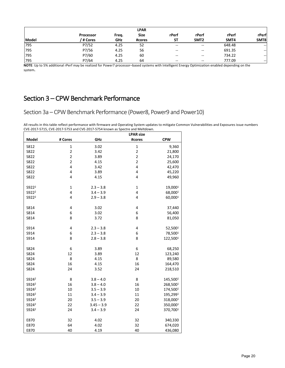|       |                  |       | <b>LPAR</b> |                          |                  |        |        |
|-------|------------------|-------|-------------|--------------------------|------------------|--------|--------|
|       | <b>Processor</b> | Freq. | <b>Size</b> | rPerf                    | rPerf            | rPerf  | rPerf  |
| Model | / # Cores        | GHz   | #cores      | <b>ST</b>                | SMT <sub>2</sub> | SMT4   | SMT8   |
| 795   | P7/52            | 4.25  | 52          | $\sim$                   | $\sim$           | 648.48 | $\sim$ |
| 795   | P7/56            | 4.25  | 56          | $\overline{\phantom{m}}$ | $- -$            | 691.35 | $- -$  |
| 795   | P7/60            | 4.25  | 60          | $\overline{\phantom{a}}$ | $- -$            | 734.22 | --     |
| 795   | P7/64            | 4.25  | 64          | $- -$                    | $- -$            | 777.09 | $- -$  |

**NOTE**: Up to 5% additional rPerf may be realized for Power7 processor–based systems with Intelligent Energy Optimization enabled depending on the system**.** 

## Section 3 – CPW Benchmark Performance

Section 3a – CPW Benchmark Performance (Power8, Power9 and Power10)

All results in this table reflect performance with firmware and Operating System updates to mitigate Common Vulnerabilities and Exposures issue numbers CVE-2017-5715, CVE-2017-5753 and CVE-2017-5754 known as Spectre and Meltdown.

| Model<br>GHz<br><b>CPW</b><br># Cores<br>#cores<br>3.02<br>$\mathbf 1$<br>S812<br>1<br>9,360<br>$\overline{c}$<br>$\overline{c}$<br>S822<br>3.42<br>21,800<br>$\overline{c}$<br>$\overline{c}$<br>S822<br>3.89<br>24,170<br>$\overline{2}$<br>$\overline{2}$<br>S822<br>4.15<br>25,600<br>S822<br>4<br>4<br>3.42<br>42,470<br>4<br>4<br>3.89<br>S822<br>45,220<br>4<br>4<br>S822<br>4.15<br>49,960<br>19,0001<br>S922 <sup>2</sup><br>$\mathbf 1$<br>$2.3 - 3.8$<br>$\mathbf 1$<br>4<br>4<br>S922 <sup>2</sup><br>$3.4 - 3.9$<br>68,0001<br>4<br>S922 <sup>2</sup><br>4<br>60,0001<br>$2.9 - 3.8$<br>S814<br>4<br>3.02<br>4<br>37,440<br>6<br>6<br>S814<br>3.02<br>56,400<br>8<br>8<br>3.72<br>S814<br>81,050<br>S914<br>4<br>$2.3 - 3.8$<br>4<br>52,5001<br>6<br>6<br>S914<br>$2.3 - 3.8$<br>78,5001<br>8<br>S914<br>8<br>$2.8 - 3.8$<br>122,5001<br>6<br>S824<br>6<br>3.89<br>68,250<br>12<br>S824<br>12<br>3.89<br>123,240<br>8<br>8<br>89,580<br>S824<br>4.15<br>16<br>16<br>S824<br>4.15<br>164,470<br>S824<br>24<br>3.52<br>24<br>218,510<br>S924 <sup>2</sup><br>8<br>8<br>145,5001<br>$3.8 - 4.0$<br>S924 <sup>2</sup><br>16<br>16<br>$3.8 - 4.0$<br>268,5001<br>S924 <sup>2</sup><br>10<br>10<br>$3.5 - 3.9$<br>174,5001<br>S924 <sup>2</sup><br>11<br>11<br>195,2991<br>$3.4 - 3.9$<br>S924 <sup>2</sup><br>20<br>20<br>$3.5 - 3.9$<br>318,0001<br>22<br>22<br>S924 <sup>2</sup><br>$3.45 - 3.9$<br>350,0001<br>S924 <sup>2</sup><br>24<br>24<br>$3.4 - 3.9$<br>370,7001<br>E870<br>32<br>4.02<br>32<br>340,330<br>64<br>4.02<br>32<br>E870<br>674,020 |      |    |      | <b>LPAR size</b> |         |
|------------------------------------------------------------------------------------------------------------------------------------------------------------------------------------------------------------------------------------------------------------------------------------------------------------------------------------------------------------------------------------------------------------------------------------------------------------------------------------------------------------------------------------------------------------------------------------------------------------------------------------------------------------------------------------------------------------------------------------------------------------------------------------------------------------------------------------------------------------------------------------------------------------------------------------------------------------------------------------------------------------------------------------------------------------------------------------------------------------------------------------------------------------------------------------------------------------------------------------------------------------------------------------------------------------------------------------------------------------------------------------------------------------------------------------------------------------------------------------------------------------------------------------------------------------------|------|----|------|------------------|---------|
|                                                                                                                                                                                                                                                                                                                                                                                                                                                                                                                                                                                                                                                                                                                                                                                                                                                                                                                                                                                                                                                                                                                                                                                                                                                                                                                                                                                                                                                                                                                                                                  |      |    |      |                  |         |
|                                                                                                                                                                                                                                                                                                                                                                                                                                                                                                                                                                                                                                                                                                                                                                                                                                                                                                                                                                                                                                                                                                                                                                                                                                                                                                                                                                                                                                                                                                                                                                  |      |    |      |                  |         |
|                                                                                                                                                                                                                                                                                                                                                                                                                                                                                                                                                                                                                                                                                                                                                                                                                                                                                                                                                                                                                                                                                                                                                                                                                                                                                                                                                                                                                                                                                                                                                                  |      |    |      |                  |         |
|                                                                                                                                                                                                                                                                                                                                                                                                                                                                                                                                                                                                                                                                                                                                                                                                                                                                                                                                                                                                                                                                                                                                                                                                                                                                                                                                                                                                                                                                                                                                                                  |      |    |      |                  |         |
|                                                                                                                                                                                                                                                                                                                                                                                                                                                                                                                                                                                                                                                                                                                                                                                                                                                                                                                                                                                                                                                                                                                                                                                                                                                                                                                                                                                                                                                                                                                                                                  |      |    |      |                  |         |
|                                                                                                                                                                                                                                                                                                                                                                                                                                                                                                                                                                                                                                                                                                                                                                                                                                                                                                                                                                                                                                                                                                                                                                                                                                                                                                                                                                                                                                                                                                                                                                  |      |    |      |                  |         |
|                                                                                                                                                                                                                                                                                                                                                                                                                                                                                                                                                                                                                                                                                                                                                                                                                                                                                                                                                                                                                                                                                                                                                                                                                                                                                                                                                                                                                                                                                                                                                                  |      |    |      |                  |         |
|                                                                                                                                                                                                                                                                                                                                                                                                                                                                                                                                                                                                                                                                                                                                                                                                                                                                                                                                                                                                                                                                                                                                                                                                                                                                                                                                                                                                                                                                                                                                                                  |      |    |      |                  |         |
|                                                                                                                                                                                                                                                                                                                                                                                                                                                                                                                                                                                                                                                                                                                                                                                                                                                                                                                                                                                                                                                                                                                                                                                                                                                                                                                                                                                                                                                                                                                                                                  |      |    |      |                  |         |
|                                                                                                                                                                                                                                                                                                                                                                                                                                                                                                                                                                                                                                                                                                                                                                                                                                                                                                                                                                                                                                                                                                                                                                                                                                                                                                                                                                                                                                                                                                                                                                  |      |    |      |                  |         |
|                                                                                                                                                                                                                                                                                                                                                                                                                                                                                                                                                                                                                                                                                                                                                                                                                                                                                                                                                                                                                                                                                                                                                                                                                                                                                                                                                                                                                                                                                                                                                                  |      |    |      |                  |         |
|                                                                                                                                                                                                                                                                                                                                                                                                                                                                                                                                                                                                                                                                                                                                                                                                                                                                                                                                                                                                                                                                                                                                                                                                                                                                                                                                                                                                                                                                                                                                                                  |      |    |      |                  |         |
|                                                                                                                                                                                                                                                                                                                                                                                                                                                                                                                                                                                                                                                                                                                                                                                                                                                                                                                                                                                                                                                                                                                                                                                                                                                                                                                                                                                                                                                                                                                                                                  |      |    |      |                  |         |
|                                                                                                                                                                                                                                                                                                                                                                                                                                                                                                                                                                                                                                                                                                                                                                                                                                                                                                                                                                                                                                                                                                                                                                                                                                                                                                                                                                                                                                                                                                                                                                  |      |    |      |                  |         |
|                                                                                                                                                                                                                                                                                                                                                                                                                                                                                                                                                                                                                                                                                                                                                                                                                                                                                                                                                                                                                                                                                                                                                                                                                                                                                                                                                                                                                                                                                                                                                                  |      |    |      |                  |         |
|                                                                                                                                                                                                                                                                                                                                                                                                                                                                                                                                                                                                                                                                                                                                                                                                                                                                                                                                                                                                                                                                                                                                                                                                                                                                                                                                                                                                                                                                                                                                                                  |      |    |      |                  |         |
|                                                                                                                                                                                                                                                                                                                                                                                                                                                                                                                                                                                                                                                                                                                                                                                                                                                                                                                                                                                                                                                                                                                                                                                                                                                                                                                                                                                                                                                                                                                                                                  |      |    |      |                  |         |
|                                                                                                                                                                                                                                                                                                                                                                                                                                                                                                                                                                                                                                                                                                                                                                                                                                                                                                                                                                                                                                                                                                                                                                                                                                                                                                                                                                                                                                                                                                                                                                  |      |    |      |                  |         |
|                                                                                                                                                                                                                                                                                                                                                                                                                                                                                                                                                                                                                                                                                                                                                                                                                                                                                                                                                                                                                                                                                                                                                                                                                                                                                                                                                                                                                                                                                                                                                                  |      |    |      |                  |         |
|                                                                                                                                                                                                                                                                                                                                                                                                                                                                                                                                                                                                                                                                                                                                                                                                                                                                                                                                                                                                                                                                                                                                                                                                                                                                                                                                                                                                                                                                                                                                                                  |      |    |      |                  |         |
|                                                                                                                                                                                                                                                                                                                                                                                                                                                                                                                                                                                                                                                                                                                                                                                                                                                                                                                                                                                                                                                                                                                                                                                                                                                                                                                                                                                                                                                                                                                                                                  |      |    |      |                  |         |
|                                                                                                                                                                                                                                                                                                                                                                                                                                                                                                                                                                                                                                                                                                                                                                                                                                                                                                                                                                                                                                                                                                                                                                                                                                                                                                                                                                                                                                                                                                                                                                  |      |    |      |                  |         |
|                                                                                                                                                                                                                                                                                                                                                                                                                                                                                                                                                                                                                                                                                                                                                                                                                                                                                                                                                                                                                                                                                                                                                                                                                                                                                                                                                                                                                                                                                                                                                                  |      |    |      |                  |         |
|                                                                                                                                                                                                                                                                                                                                                                                                                                                                                                                                                                                                                                                                                                                                                                                                                                                                                                                                                                                                                                                                                                                                                                                                                                                                                                                                                                                                                                                                                                                                                                  |      |    |      |                  |         |
|                                                                                                                                                                                                                                                                                                                                                                                                                                                                                                                                                                                                                                                                                                                                                                                                                                                                                                                                                                                                                                                                                                                                                                                                                                                                                                                                                                                                                                                                                                                                                                  |      |    |      |                  |         |
|                                                                                                                                                                                                                                                                                                                                                                                                                                                                                                                                                                                                                                                                                                                                                                                                                                                                                                                                                                                                                                                                                                                                                                                                                                                                                                                                                                                                                                                                                                                                                                  |      |    |      |                  |         |
|                                                                                                                                                                                                                                                                                                                                                                                                                                                                                                                                                                                                                                                                                                                                                                                                                                                                                                                                                                                                                                                                                                                                                                                                                                                                                                                                                                                                                                                                                                                                                                  |      |    |      |                  |         |
|                                                                                                                                                                                                                                                                                                                                                                                                                                                                                                                                                                                                                                                                                                                                                                                                                                                                                                                                                                                                                                                                                                                                                                                                                                                                                                                                                                                                                                                                                                                                                                  |      |    |      |                  |         |
|                                                                                                                                                                                                                                                                                                                                                                                                                                                                                                                                                                                                                                                                                                                                                                                                                                                                                                                                                                                                                                                                                                                                                                                                                                                                                                                                                                                                                                                                                                                                                                  |      |    |      |                  |         |
|                                                                                                                                                                                                                                                                                                                                                                                                                                                                                                                                                                                                                                                                                                                                                                                                                                                                                                                                                                                                                                                                                                                                                                                                                                                                                                                                                                                                                                                                                                                                                                  |      |    |      |                  |         |
|                                                                                                                                                                                                                                                                                                                                                                                                                                                                                                                                                                                                                                                                                                                                                                                                                                                                                                                                                                                                                                                                                                                                                                                                                                                                                                                                                                                                                                                                                                                                                                  |      |    |      |                  |         |
|                                                                                                                                                                                                                                                                                                                                                                                                                                                                                                                                                                                                                                                                                                                                                                                                                                                                                                                                                                                                                                                                                                                                                                                                                                                                                                                                                                                                                                                                                                                                                                  |      |    |      |                  |         |
|                                                                                                                                                                                                                                                                                                                                                                                                                                                                                                                                                                                                                                                                                                                                                                                                                                                                                                                                                                                                                                                                                                                                                                                                                                                                                                                                                                                                                                                                                                                                                                  | E870 | 40 | 4.19 | 40               | 436,080 |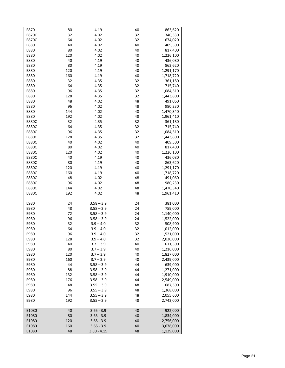| E870         | 80  | 4.19          | 40 | 863,620   |
|--------------|-----|---------------|----|-----------|
| E870C        | 32  | 4.02          | 32 | 340,330   |
| <b>E870C</b> | 64  | 4.02          | 32 | 674,020   |
| E880         | 40  | 4.02          | 40 | 409,500   |
|              |     |               |    |           |
| E880         | 80  | 4.02          | 40 | 817,400   |
| E880         | 120 | 4.02          | 40 | 1,226,100 |
| E880         | 40  | 4.19          | 40 | 436,080   |
| E880         | 80  | 4.19          | 40 | 863,620   |
|              |     |               |    |           |
| E880         | 120 | 4.19          | 40 | 1,291,170 |
| E880         | 160 | 4.19          | 40 | 1,718,720 |
| E880         | 32  | 4.35          | 32 | 361,180   |
| E880         | 64  | 4.35          | 32 | 715,740   |
|              |     |               |    |           |
| E880         | 96  | 4.35          | 32 | 1,084,510 |
| E880         | 128 | 4.35          | 32 | 1,443,800 |
| E880         | 48  | 4.02          | 48 | 491,060   |
| E880         | 96  | 4.02          | 48 | 980,230   |
|              |     |               |    |           |
| E880         | 144 | 4.02          | 48 | 1,470,340 |
| E880         | 192 | 4.02          | 48 | 1,961,410 |
| <b>E880C</b> | 32  | 4.35          | 32 | 361,180   |
|              |     |               |    |           |
| <b>E880C</b> | 64  | 4.35          | 32 | 715,740   |
| <b>E880C</b> | 96  | 4.35          | 32 | 1,084,510 |
| <b>E880C</b> | 128 | 4.35          | 32 | 1,443,800 |
| <b>E880C</b> | 40  | 4.02          | 40 | 409,500   |
|              |     |               |    |           |
| <b>E880C</b> | 80  | 4.02          | 40 | 817,400   |
| <b>E880C</b> | 120 | 4.02          | 40 | 1,226,100 |
| E880C        | 40  | 4.19          | 40 | 436,080   |
| <b>E880C</b> | 80  | 4.19          | 40 | 863,620   |
|              |     |               |    |           |
| <b>E880C</b> | 120 | 4.19          | 40 | 1,291,170 |
| <b>E880C</b> | 160 | 4.19          | 40 | 1,718,720 |
| <b>E880C</b> | 48  | 4.02          | 48 | 491,060   |
| <b>E880C</b> | 96  | 4.02          | 48 | 980,230   |
|              |     |               |    |           |
| E880C        | 144 | 4.02          | 48 | 1,470,340 |
| <b>E880C</b> | 192 | 4.02          | 48 | 1,961,410 |
|              |     |               |    |           |
| E980         | 24  | $3.58 - 3.9$  | 24 | 381,000   |
|              |     |               |    |           |
| E980         | 48  | $3.58 - 3.9$  | 24 | 759,000   |
| E980         | 72  | $3.58 - 3.9$  | 24 | 1,140,000 |
| E980         | 96  | $3.58 - 3.9$  | 24 | 1,522,000 |
| E980         | 32  | $3.9 - 4.0$   | 32 | 508,900   |
|              |     |               |    |           |
| E980         | 64  | $3.9 - 4.0$   | 32 | 1,012,000 |
| E980         | 96  | $3.9 - 4.0$   | 32 | 1,521,000 |
| E980         | 128 | $3.9 - 4.0$   | 32 | 2,030,000 |
| E980         | 40  | $3.7 - 3.9$   | 40 | 611,300   |
|              |     |               |    |           |
| E980         | 80  | $3.7 - 3.9$   | 40 | 1,216,000 |
| E980         | 120 | $3.7 - 3.9$   | 40 | 1,827,000 |
| E980         | 160 | $3.7 - 3.9$   | 40 | 2,439,000 |
| E980         | 44  | $3.58 - 3.9$  | 44 | 639,000   |
|              |     |               |    |           |
| E980         | 88  | $3.58 - 3.9$  | 44 | 1,271,000 |
| E980         | 132 | $3.58 - 3.9$  | 44 | 1,910,000 |
| E980         | 176 | $3.58 - 3.9$  | 44 | 2,549,000 |
| E980         | 48  | $3.55 - 3.9$  | 48 | 687,500   |
|              |     |               |    |           |
| E980         | 96  | $3.55 - 3.9$  | 48 | 1,368,000 |
| E980         | 144 | $3.55 - 3.9$  | 48 | 2,055,600 |
| E980         | 192 | $3.55 - 3.9$  | 48 | 2,743,000 |
|              |     |               |    |           |
|              |     |               |    |           |
| E1080        | 40  | $3.65 - 3.9$  | 40 | 922,000   |
| E1080        | 80  | $3.65 - 3.9$  | 40 | 1,834,000 |
| E1080        | 120 | $3.65 - 3.9$  | 40 | 2,756,000 |
| E1080        | 160 | $3.65 - 3.9$  | 40 | 3,678,000 |
|              |     |               |    |           |
| E1080        | 48  | $3.60 - 4.15$ | 48 | 1,129,000 |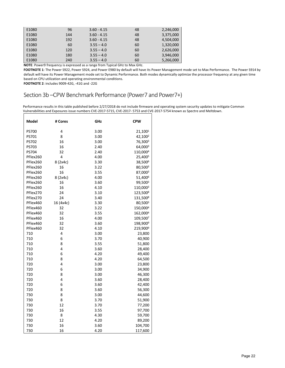| E1080 | 96  | $3.60 - 4.15$ | 48 | 2,246,000 |
|-------|-----|---------------|----|-----------|
| E1080 | 144 | $3.60 - 4.15$ | 48 | 3,375,000 |
| E1080 | 192 | $3.60 - 4.15$ | 48 | 4,504,000 |
| E1080 | 60  | $3.55 - 4.0$  | 60 | 1,320,000 |
| E1080 | 120 | $3.55 - 4.0$  | 60 | 2,626,000 |
| E1080 | 180 | $3.55 - 4.0$  | 60 | 3,946,000 |
| E1080 | 240 | $3.55 - 4.0$  | 60 | 5,266,000 |

**NOTE**: Power9 frequency is expressed as a range from Typical GHz to Max GHz.

**FOOTNOTE 1**: The Power S922, Power S924, and Power E980 by default will have its Power Management mode set to Max Performance. The Power S914 by default will have its Power Management mode set to Dynamic Performance. Both modes dynamically optimize the processor frequency at any given time based on CPU utilization and operating environmental conditions.

**FOOTNOTE 2**: includes 9009-42G, -41G and -22G

## Section 3b –CPW Benchmark Performance (Power7 and Power7+)

| Model    | # Cores   | GHz  | <b>CPW</b>           |
|----------|-----------|------|----------------------|
| PS700    | 4         | 3.00 | 21,1001              |
| PS701    | 8         | 3.00 | 42,100 <sup>2</sup>  |
| PS702    | 16        | 3.00 | 76,3003              |
| PS703    | 16        | 2.40 | 64,0003              |
| PS704    | 32        | 2.40 | 110,0004             |
| PFlex260 | 4         | 4.00 | 25,4005              |
| PFlex260 | 8 (2x4c)  | 3.30 | 38,5006              |
| PFlex260 | 16        | 3.22 | 80,5003              |
| PFlex260 | 16        | 3.55 | 87,0003              |
| PFlex260 | 8 (2x4c)  | 4.00 | 51,4006              |
| PFlex260 | 16        | 3.60 | 99,500 <sup>3</sup>  |
| PFlex260 | 16        | 4.10 | 110,0003             |
| PFlex270 | 24        | 3.10 | 123,5008             |
| PFlex270 | 24        | 3.40 | 131,5008             |
| PFlex460 | 16 (4x4c) | 3.30 | 80,5003              |
| PFlex460 | 32        | 3.22 | 150,0004             |
| PFlex460 | 32        | 3.55 | 162,0004             |
| PFlex460 | 16        | 4.00 | 109,5007             |
| PFlex460 | 32        | 3.60 | 198,900 <sup>9</sup> |
| PFlex460 | 32        | 4.10 | 219,900 <sup>9</sup> |
| 710      | 4         | 3.00 | 23,800               |
| 710      | 6         | 3.70 | 40,900               |
| 710      | 8         | 3.55 | 51,800               |
| 710      | 4         | 3.60 | 28,400               |
| 710      | 6         | 4.20 | 49,400               |
| 710      | 8         | 4.20 | 64,500               |
| 720      | 4         | 3.00 | 23,800               |
| 720      | 6         | 3.00 | 34,900               |
| 720      | 8         | 3.00 | 46,300               |
| 720      | 4         | 3.60 | 28,400               |
| 720      | 6         | 3.60 | 42,400               |
| 720      | 8         | 3.60 | 56,300               |
| 730      | 8         | 3.00 | 44,600               |
| 730      | 8         | 3.70 | 51,900               |
| 730      | 12        | 3.70 | 77,200               |
| 730      | 16        | 3.55 | 97,700               |
| 730      | 8         | 4.30 | 59,700               |
| 730      | 12        | 4.20 | 89,200               |
| 730      | 16        | 3.60 | 104,700              |
| 730      | 16        | 4.20 | 117,600              |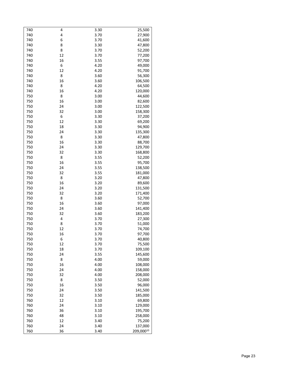| 740 | 4  | 3.30 | 25,500    |
|-----|----|------|-----------|
| 740 | 4  | 3.70 | 27,900    |
| 740 | 6  | 3.70 | 41,600    |
| 740 | 8  | 3.30 | 47,800    |
| 740 | 8  | 3.70 | 52,200    |
| 740 | 12 | 3.70 | 77,200    |
| 740 | 16 | 3.55 | 97,700    |
| 740 | 6  | 4.20 | 49,000    |
| 740 | 12 | 4.20 | 91,700    |
|     |    |      |           |
| 740 | 8  | 3.60 | 56,300    |
| 740 | 16 | 3.60 | 106,500   |
| 740 | 8  | 4.20 | 64,500    |
| 740 | 16 | 4.20 | 120,000   |
| 750 | 8  | 3.00 | 44,600    |
| 750 | 16 | 3.00 | 82,600    |
| 750 | 24 | 3.00 | 122,500   |
| 750 | 32 | 3.00 | 158,300   |
| 750 | 6  | 3.30 | 37,200    |
| 750 | 12 | 3.30 | 69,200    |
| 750 | 18 | 3.30 | 94,900    |
| 750 | 24 | 3.30 | 135,300   |
| 750 | 8  | 3.30 | 47,800    |
| 750 | 16 | 3.30 | 88,700    |
| 750 | 24 | 3.30 | 129,700   |
| 750 | 32 | 3.30 | 168,800   |
| 750 | 8  | 3.55 | 52,200    |
| 750 | 16 | 3.55 | 95,700    |
| 750 | 24 | 3.55 | 138,500   |
| 750 | 32 | 3.55 | 181,000   |
| 750 | 8  | 3.20 | 47,800    |
| 750 | 16 | 3.20 | 89,600    |
| 750 | 24 | 3.20 |           |
|     |    |      | 131,500   |
| 750 | 32 | 3.20 | 171,400   |
| 750 | 8  | 3.60 | 52,700    |
| 750 | 16 | 3.60 | 97,000    |
| 750 | 24 | 3.60 | 141,400   |
| 750 | 32 | 3.60 | 183,200   |
| 750 | 4  | 3.70 | 27,300    |
| 750 | 8  | 3.70 | 51,000    |
| 750 | 12 | 3.70 | 74,700    |
| 750 | 16 | 3.70 | 97,700    |
| 750 | 6  | 3.70 | 40,800    |
| 750 | 12 | 3.70 | 75,500    |
| 750 | 18 | 3.70 | 109,100   |
| 750 | 24 | 3.55 | 145,600   |
| 750 | 8  | 4.00 | 59,000    |
| 750 | 16 | 4.00 | 108,000   |
| 750 | 24 | 4.00 | 158,000   |
| 750 | 32 | 4.00 | 208,000   |
| 750 | 8  | 3.50 | 52,000    |
| 750 | 16 | 3.50 | 96,000    |
| 750 | 24 | 3.50 | 141,500   |
| 750 | 32 | 3.50 | 185,000   |
| 760 | 12 | 3.10 | 69,800    |
| 760 | 24 | 3.10 | 129,000   |
| 760 | 36 | 3.10 | 195,700   |
|     |    |      |           |
| 760 | 48 | 3.10 | 258,000   |
| 760 | 12 | 3.40 | 75,200    |
| 760 | 24 | 3.40 | 137,000   |
| 760 | 36 | 3.40 | 209,00010 |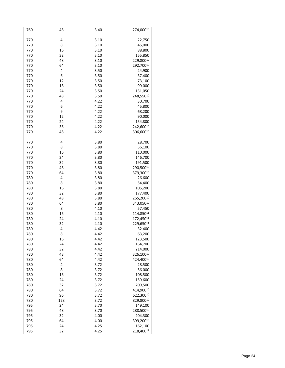| 760 | 48  | 3.40 | 274,00010 |
|-----|-----|------|-----------|
|     |     |      |           |
| 770 | 4   | 3.10 | 22,750    |
| 770 | 8   | 3.10 | 45,000    |
| 770 | 16  | 3.10 | 88,800    |
| 770 | 32  | 3.10 | 155,850   |
| 770 | 48  | 3.10 | 229,80010 |
| 770 | 64  | 3.10 | 292,70010 |
| 770 | 4   | 3.50 | 24,900    |
| 770 | 6   | 3.50 | 37,400    |
| 770 | 12  | 3.50 | 73,100    |
| 770 | 18  | 3.50 | 99,000    |
| 770 | 24  | 3.50 |           |
|     |     |      | 131,050   |
| 770 | 48  | 3.50 | 248,55010 |
| 770 | 4   | 4.22 | 30,700    |
| 770 | 6   | 4.22 | 45,800    |
| 770 | 9   | 4.22 | 68,200    |
| 770 | 12  | 4.22 | 90,000    |
| 770 | 24  | 4.22 | 154,800   |
| 770 | 36  | 4.22 | 242,60010 |
| 770 | 48  | 4.22 | 306,60010 |
|     |     |      |           |
| 770 | 4   | 3.80 | 28,700    |
| 770 | 8   | 3.80 | 56,100    |
| 770 | 16  | 3.80 | 110,000   |
| 770 | 24  | 3.80 | 146,700   |
| 770 | 32  | 3.80 | 191,500   |
| 770 | 48  | 3.80 | 290,50010 |
| 770 | 64  | 3.80 | 379,30010 |
| 780 | 4   | 3.80 | 26,600    |
| 780 | 8   | 3.80 | 54,400    |
| 780 | 16  | 3.80 | 105,200   |
| 780 | 32  | 3.80 | 177,400   |
| 780 | 48  | 3.80 | 265,20010 |
| 780 | 64  | 3.80 | 343,05010 |
| 780 | 8   | 4.10 | 57,450    |
| 780 | 16  | 4.10 | 114,85011 |
| 780 | 24  | 4.10 | 172,45011 |
| 780 | 32  | 4.10 | 229,65011 |
| 780 | 4   | 4.42 | 32,400    |
| 780 | 8   | 4.42 | 63,200    |
| 780 | 16  | 4.42 | 123,500   |
| 780 | 24  | 4.42 | 164,700   |
| 780 | 32  | 4.42 | 214,000   |
|     |     |      |           |
| 780 | 48  | 4.42 | 326,10010 |
| 780 | 64  | 4.42 | 424,40010 |
| 780 | 4   | 3.72 | 28,500    |
| 780 | 8   | 3.72 | 56,000    |
| 780 | 16  | 3.72 | 108,500   |
| 780 | 24  | 3.72 | 159,600   |
| 780 | 32  | 3.72 | 209,500   |
| 780 | 64  | 3.72 | 414,90010 |
| 780 | 96  | 3.72 | 622,30010 |
| 780 | 128 | 3.72 | 829,80010 |
| 795 | 24  | 3.70 | 149,100   |
| 795 | 48  | 3.70 | 288,50010 |
| 795 | 32  | 4.00 | 204,300   |
| 795 | 64  | 4.00 | 399,20010 |
| 795 | 24  | 4.25 | 162,100   |
| 795 | 32  | 4.25 | 218,40012 |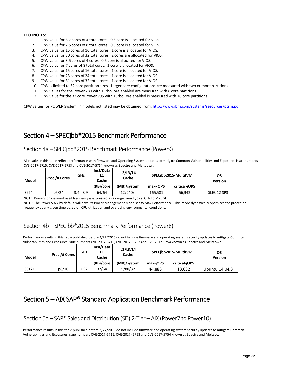#### **FOOTNOTES**:

- 1. CPW value for 3.7 cores of 4 total cores. 0.3 core is allocated for VIOS.
- 2. CPW value for 7.5 cores of 8 total cores. 0.5 core is allocated for VIOS.
- 3. CPW value for 15 cores of 16 total cores. 1 core is allocated for VIOS.
- 4. CPW value for 30 cores of 32 total cores. 2 cores are allocated for VIOS.
- 5. CPW value for 3.5 cores of 4 cores. 0.5 core is allocated for VIOS.
- 6. CPW value for 7 cores of 8 total cores. 1 core is allocated for VIOS.
- 7. CPW value for 15 cores of 16 total cores. 1 core is allocated for VIOS.
- 8. CPW value for 23 cores of 24 total cores. 1 core is allocated for VIOS.
- 9. CPW value for 31 cores of 32 total cores. 1 core is allocated for VIOS.
- 10. CPW is limited to 32 core partition sizes. Larger core configurations are measured with two or more partitions.
- 11. CPW values for the Power 780 with TurboCore enabled are measured with 8 core partitions.
- 12. CPW value for the 32 core Power 795 with TurboCore enabled is measured with 16 core partitions.

CPW values for POWER System i™ models not listed may be obtained from: http://www.ibm.com/systems/resources/pcrm.pdf

## Section 4 – SPECjbb®2015 Benchmark Performance

#### Section 4a – SPECjbb®2015 Benchmark Performance (Power9)

All results in this table reflect performance with firmware and Operating System updates to mitigate Common Vulnerabilities and Exposures issue numbers CVE-2017-5715, CVE-2017-5753 and CVE-2017-5754 known as Spectre and Meltdown.

| Model | <b>Proc /# Cores</b> | GHz         | Inst/Data<br>L1<br>Cache | L2/L3/L4<br>Cache |          | SPECibb2015-MultiJVM | OS<br><b>Version</b> |  |
|-------|----------------------|-------------|--------------------------|-------------------|----------|----------------------|----------------------|--|
|       |                      |             | (KB)/core                | (MB)/system       | max-iOPS | critical-jOPS        |                      |  |
| S924  | p9/24                | $3.4 - 3.9$ | 64/64                    | $12/240/-$        | 165.581  | 56.942               | SLES 12 SP3          |  |

**NOTE**: Power9 processor–based frequency is expressed as a range from Typical GHz to Max GHz.

**NOTE**: The Power S924 by default will have its Power Management mode set to Max Performance. This mode dynamically optimizes the processor frequency at any given time based on CPU utilization and operating environmental conditions.

### Section 4b – SPECjbb®2015 Benchmark Performance (Power8)

Performance results in this table published before 2/27/2018 do not include firmware and operating system security updates to mitigate Common Vulnerabilities and Exposures issue numbers CVE-2017-5715, CVE-2017- 5753 and CVE-2017-5754 known as Spectre and Meltdown.

| Model         | Proc /# Cores | GHz  | Inst/Data<br>L1<br>Cache | L2/L3/L4<br>Cache | SPECibb2015-MultiJVM |               | OS<br><b>Version</b> |
|---------------|---------------|------|--------------------------|-------------------|----------------------|---------------|----------------------|
|               |               |      | (KB)/core                | (MB)/system       | max-iOPS             | critical-iOPS |                      |
| <b>S812LC</b> | p8/10         | 2.92 | 32/64                    | 5/80/32           | 44.883               | 13.032        | Ubuntu 14.04.3       |

## Section 5 – AIX SAP® Standard Application Benchmark Performance

Section 5a – SAP® Sales and Distribution (SD) 2-Tier – AIX (Power7 to Power10)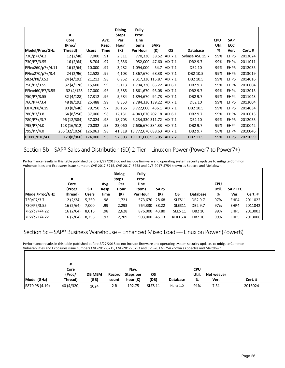|                   |               |              |       | <b>Dialog</b> | Fully                     |             |               |                 |            |            |         |
|-------------------|---------------|--------------|-------|---------------|---------------------------|-------------|---------------|-----------------|------------|------------|---------|
|                   | #             |              |       | <b>Steps</b>  | Proc.                     |             |               |                 |            |            |         |
|                   | Core          |              | Avg.  | Per           | Line                      |             |               |                 | <b>CPU</b> | <b>SAP</b> |         |
|                   | (Proc/        |              | Resp. | Hour          | <b>Items</b>              | <b>SAPS</b> |               |                 | Util.      | <b>ECC</b> |         |
| Model/Proc/GHz    | Thread)       | <b>Users</b> | Time  | (K)           | Per Hour                  | (K)         | <b>OS</b>     | <b>Database</b> | %          | Ver.       | Cert.#  |
| 730/p7+/4.2       | 12 (2/48)     | 7,000        | .91   | 2,311         | 770,330                   |             | 38.52 AIX 7.1 | Sybase ASE 15.7 | 99%        | EHP5       | 2013024 |
| 730/P7/3.55       | 16(2/64)      | 8,704        | .97   | 2,856         | 952,000                   |             | 47.60 AIX 7.1 | DB2 9.7         | 99%        | EHP4       | 2011011 |
| PFlex260/p7+/4.11 | 16(2/64)      | 10,000       | .97   | 3,282         | 1,094,000                 | 54.7        | AIX 7.1       | DB2 10          | 99%        | EHP5       | 2012035 |
| PFlex270/p7+/3.4  | 24 (2/96)     | 12,528       | .99   | 4,103         | 1,367,670 68.38 AIX 7.1   |             |               | DB2 10.5        | 99%        | EHP5       | 2013019 |
| S824/P8/3.52      | 24 (4/192)    | 21,212       | .98   | 6,952         | 2,317,330 115.87 AIX 7.1  |             |               | DB2 10.5        | 99%        | EHP5       | 2014016 |
| 750/P7/3.55       | 32 (4/128)    | 15,600       | .99   | 5,113         | 1,704,330 85.22 AIX 6.1   |             |               | DB2 9.7         | 99%        | EHP4       | 2010004 |
| PFlex460/P7/3.55  | 32 (4/128)    | 17,000       | .96   | 5,585         | 1,861,670 93.08 AIX 7.1   |             |               | DB2 9.7         | 99%        | EHP4       | 2012015 |
| 750/P7/3.55       | 32 (4/128)    | 17,312       | .96   | 5,684         | 1,894,670 94.73 AIX 7.1   |             |               | DB2 9.7         | 99%        | EHP4       | 2011043 |
| 760/P7+/3.4       | 48 (8/192)    | 25,488       | .99   | 8,353         | 2,784,330 139.22 AIX 7.1  |             |               | DB2 10          | 99%        | EHP5       | 2013004 |
| E870/P8/4.19      | 80 (8/640)    | 79,750       | .97   | 26,166        | 8,722,000 436.1 AIX 7.1   |             |               | DB2 10.5        | 99%        | EHP5       | 2014034 |
| 780/P7/3.8        | 64 (8/256)    | 37,000       | .98   | 12,131        | 4,043,670 202.18 AIX 6.1  |             |               | DB2 9.7         | 99%        | EHP4       | 2010013 |
| 780/P7+/3.7       | 96 (12/384)   | 57,024       | .98   | 18,703        | 6,234,330 311.72 AIX 7.1  |             |               | DB2 10          | 99%        | EHP5       | 2012033 |
| 795/P7/4.0        | 128 (16/512)  | 70,032       | .93   | 23,060        | 7,686,670 384.33 AIX 7.1  |             |               | DB2 9.7         | 99%        | EHP4       | 2010042 |
| 795/P7/4.0        | 256 (32/1024) | 126,063      | .98   | 41,318        | 13,772,670 688.63 AIX 7.1 |             |               | DB2 9.7         | 96%        | EHP4       | 2010046 |
| E1080/P10/4.0     | 120(8/960)    | 174,000      | .93   | 57,303        | 19,101,000 955.05 AIX 7.2 |             |               | DB2 11.5        | 99%        | EHP5       | 2021059 |

Section 5b – SAP® Sales and Distribution (SD) 2-Tier – Linux on Power(Power7 to Power7+)

Performance results in this table published before 2/27/2018 do not include firmware and operating system security updates to mitigate Common Vulnerabilities and Exposures issue numbers CVE-2017-5715, CVE-2017- 5753 and CVE-2017-5754 known as Spectre and Meltdown.

|                | #<br>Core<br>(Proc/ | <b>SD</b> | Avg.<br>Resp. | <b>Dialog</b><br><b>Steps</b><br>Per<br>Hour | Fully<br>Proc.<br>Line<br><b>Items</b> | <b>SAPS</b> |                |                 | <b>CPU</b><br>Util. | <b>SAP ECC</b> |         |
|----------------|---------------------|-----------|---------------|----------------------------------------------|----------------------------------------|-------------|----------------|-----------------|---------------------|----------------|---------|
| Model/Proc/GHz | Thread)             | Users     | Time          | (K)                                          | Per Hour                               | (K)         | OS             | <b>Database</b> | %                   | Ver.           | Cert. # |
| 730/P7/3.7     | 12(2/24)            | 5,250     | .98           | 1,721                                        | 573,670                                | 28.68       | SLES11         | DB2 9.7         | 97%                 | EHP4           | 2011022 |
| 730/P7/3.55    | 16(2/64)            | 7.000     | .99           | 2,293                                        | 764.330                                | 38.22       | SLES11         | DB2 9.7         | 97%                 | EHP4           | 2011042 |
| 7R2/p7+/4.22   | 16(2/64)            | 8,016     | .98           | 2,628                                        | 876.000                                | 43.80       | <b>SLES 11</b> | DB2 10          | 99%                 | EHP5           | 2013003 |
| 7R2/p7+/4.22   | 16(2/64)            | 8,256     | .97           | 2,709                                        | 903.000                                | 45.13       | RHEL6.4        | DB2 10          | 99%                 | EHP5           | 2013006 |

## Section 5c – SAP® Business Warehouse – Enhanced Mixed Load — Linux on Power (Power8)

|                | #                 |                       |                 |                       |                |                 |              |                    |         |
|----------------|-------------------|-----------------------|-----------------|-----------------------|----------------|-----------------|--------------|--------------------|---------|
|                | Core              |                       |                 | Nav.                  |                |                 | CPU<br>Util. |                    |         |
| Model (GHz)    | (Proc/<br>Thread) | <b>DB MEM</b><br>(GB) | Record<br>count | Steps per<br>hour (K) | OS<br>(DB)     | <b>Database</b> | %            | Net weaver<br>Ver. | Cert. # |
| E870 P8 (4.19) | 40 (4/320)        | 1024                  | 2 B             | 192.75                | <b>SLES 11</b> | Hana 1.0        | 91%          | 7.31               | 2015024 |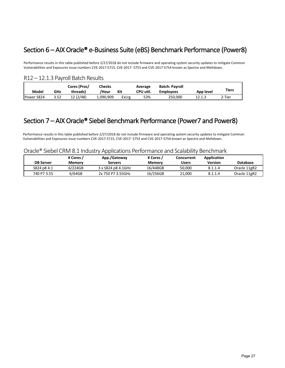## Section 6 – AIX Oracle® e-Business Suite (eBS) Benchmark Performance (Power8)

Performance results in this table published before 2/27/2018 do not include firmware and operating system security updates to mitigate Common Vulnerabilities and Exposures issue numbers CVE-2017-5715, CVE-2017- 5753 and CVE-2017-5754 known as Spectre and Meltdown.

### R12 – 12.1.3 Payroll Batch Results

| Model      | GHz  | Cores (Proc/<br>threads) | <b>Checks</b><br>/Hour | Kit   | Average<br>CPU util. | <b>Batch: Payroll</b><br><b>Employees</b> | App level | <b>Tiers</b> |
|------------|------|--------------------------|------------------------|-------|----------------------|-------------------------------------------|-----------|--------------|
| Power S824 | 3.52 | 12 (2/48)                | 1,090,909              | ExLrg | 53%                  | 250.000                                   | 12.1.3    | 2-Tier       |

## Section 7 – AIX Oracle® Siebel Benchmark Performance (Power7 and Power8)

Performance results in this table published before 2/27/2018 do not include firmware and operating system security updates to mitigate Common Vulnerabilities and Exposures issue numbers CVE-2017-5715, CVE-2017- 5753 and CVE-2017-5754 known as Spectre and Meltdown.

#### Oracle® Siebel CRM 8.1 Industry Applications Performance and Scalability Benchmark

| <b>DB Server</b> | # Cores<br>Memory | App./Gateway<br>Servers | # Cores /<br><b>Memory</b> | Concurrent<br>Users | Application<br>Version | Database     |
|------------------|-------------------|-------------------------|----------------------------|---------------------|------------------------|--------------|
| S824 p8 4.1      | 6/224GB           | 3 x S824 p8 4.1GHz      | 16/448GB                   | 50.000              | 8.1.1.4                | Oracle 11gR2 |
| 740 P7 3.55      | 6/64GB            | 2x 750 P7 3.55GHz       | 16/256GB                   | 21,000              | 8.1.1.4                | Oracle 11gR2 |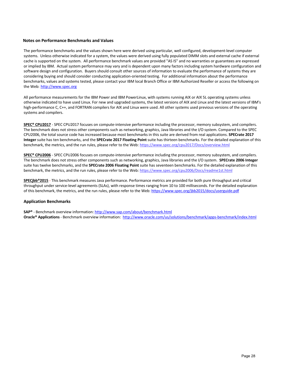#### **Notes on Performance Benchmarks and Values**

The performance benchmarks and the values shown here were derived using particular, well configured, development-level computer systems. Unless otherwise indicated for a system, the values were derived using fully populated DIMM slots and external cache if external cache is supported on the system. All performance benchmark values are provided "AS IS" and no warranties or guarantees are expressed or implied by IBM. Actual system performance may vary and is dependent upon many factors including system hardware configuration and software design and configuration. Buyers should consult other sources of information to evaluate the performance of systems they are considering buying and should consider conducting application-oriented testing. For additional information about the performance benchmarks, values and systems tested, please contact your IBM local Branch Office or IBM Authorized Reseller or access the following on the Web: http://www.spec.org

All performance measurements for the IBM Power and IBM PowerLinux, with systems running AIX or AIX 5L operating systems unless otherwise indicated to have used Linux. For new and upgraded systems, the latest versions of AIX and Linux and the latest versions of IBM's high-performance C, C++, and FORTRAN compilers for AIX and Linux were used. All other systems used previous versions of the operating systems and compilers.

**SPEC® CPU2017** - SPEC CPU2017 focuses on compute-intensive performance including the processor, memory subsystem, and compilers. The benchmark does not stress other components such as networking, graphics, Java libraries and the I/O system. Compared to the SPEC CPU2006, the total source code has increased because most benchmarks in this suite are derived from real applications. **SPECrate 2017 Integer** suite has ten benchmarks, and the **SPECrate 2017 Floating Point** suite has thirteen benchmarks. For the detailed explanation of this benchmark, the metrics, and the run rules, please refer to the Web: https://www.spec.org/cpu2017/Docs/overview.html

**SPEC® CPU2006** - SPEC CPU2006 focuses on compute-intensive performance including the processor, memory subsystem, and compilers. The benchmark does not stress other components such as networking, graphics, Java libraries and the I/O system. **SPECrate 2006 Integer** suite has twelve benchmarks, and the **SPECrate 2006 Floating Point** suite has seventeen benchmarks. For the detailed explanation of this benchmark, the metrics, and the run rules, please refer to the Web: https://www.spec.org/cpu2006/Docs/readme1st.html

**SPECjbb®2015** - This benchmark measures Java performance. Performance metrics are provided for both pure throughput and critical throughput under service-level agreements (SLAs), with response times ranging from 10 to 100 milliseconds. For the detailed explanation of this benchmark, the metrics, and the run rules, please refer to the Web: https://www.spec.org/jbb2015/docs/userguide.pdf

#### **Application Benchmarks**

**SAP®** - Benchmark overview information: http://www.sap.com/about/benchmark.html **Oracle® Applications** - Benchmark overview information: http://www.oracle.com/us/solutions/benchmark/apps-benchmark/index.html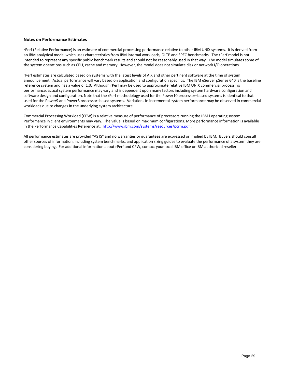#### **Notes on Performance Estimates**

.

rPerf (Relative Performance) is an estimate of commercial processing performance relative to other IBM UNIX systems. It is derived from an IBM analytical model which uses characteristics from IBM internal workloads, OLTP and SPEC benchmarks. The rPerf model is not intended to represent any specific public benchmark results and should not be reasonably used in that way. The model simulates some of the system operations such as CPU, cache and memory. However, the model does not simulate disk or network I/O operations.

rPerf estimates are calculated based on systems with the latest levels of AIX and other pertinent software at the time of system announcement. Actual performance will vary based on application and configuration specifics. The IBM eServer pSeries 640 is the baseline reference system and has a value of 1.0. Although rPerf may be used to approximate relative IBM UNIX commercial processing performance, actual system performance may vary and is dependent upon many factors including system hardware configuration and software design and configuration. Note that the rPerf methodology used for the Power10 processor–based systems is identical to that used for the Power9 and Power8 processor–based systems. Variations in incremental system performance may be observed in commercial workloads due to changes in the underlying system architecture.

Commercial Processing Workload (CPW) is a relative measure of performance of processors running the IBM i operating system. Performance in client environments may vary. The value is based on maximum configurations. More performance information is available in the Performance Capabilities Reference at: http://www.ibm.com/systems/resources/pcrm.pdf.

All performance estimates are provided "AS IS" and no warranties or guarantees are expressed or implied by IBM. Buyers should consult other sources of information, including system benchmarks, and application sizing guides to evaluate the performance of a system they are considering buying. For additional information about rPerf and CPW, contact your local IBM office or IBM authorized reseller.